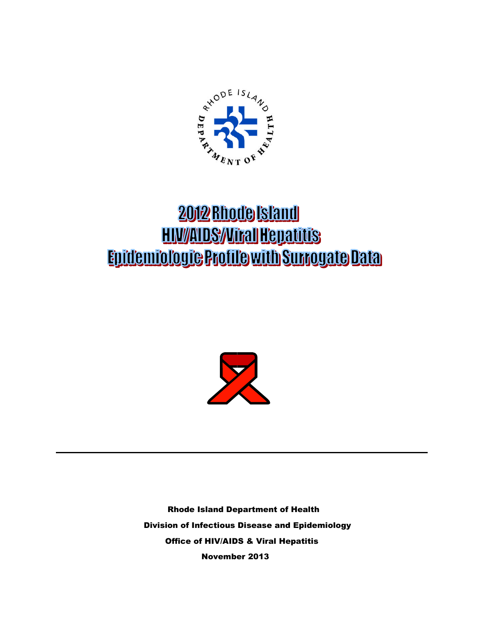

# 2012 Rhode Island **HIV/AIDS/Viral Hepatitis** Epidemiologie Profile with Surrogate Data



Rhode Island Department of Health Division of Infectious Disease and Epidemiology Office of HIV/AIDS & Viral Hepatitis November 2013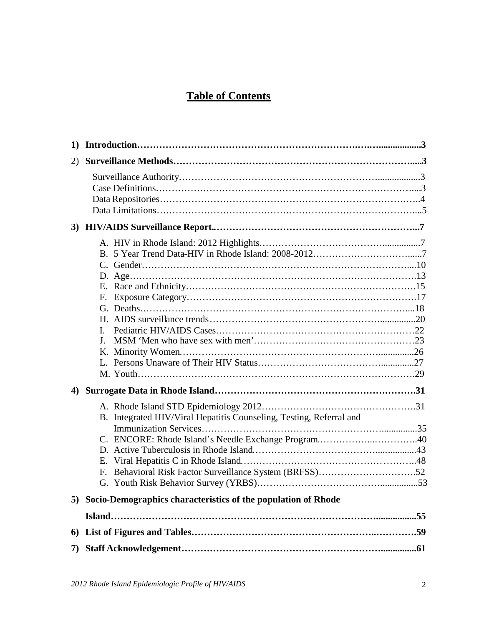# **Table of Contents**

| 1) |                                                                                                                                  |  |
|----|----------------------------------------------------------------------------------------------------------------------------------|--|
| 2) |                                                                                                                                  |  |
|    |                                                                                                                                  |  |
| 3) |                                                                                                                                  |  |
|    | L<br>J.                                                                                                                          |  |
| 4) |                                                                                                                                  |  |
|    | B. Integrated HIV/Viral Hepatitis Counseling, Testing, Referral and<br>C. ENCORE: Rhode Island's Needle Exchange Program40<br>Е. |  |
|    | $F_{\cdot}$                                                                                                                      |  |
|    | 5) Socio-Demographics characteristics of the population of Rhode                                                                 |  |
|    |                                                                                                                                  |  |
| 6  |                                                                                                                                  |  |
| 7) |                                                                                                                                  |  |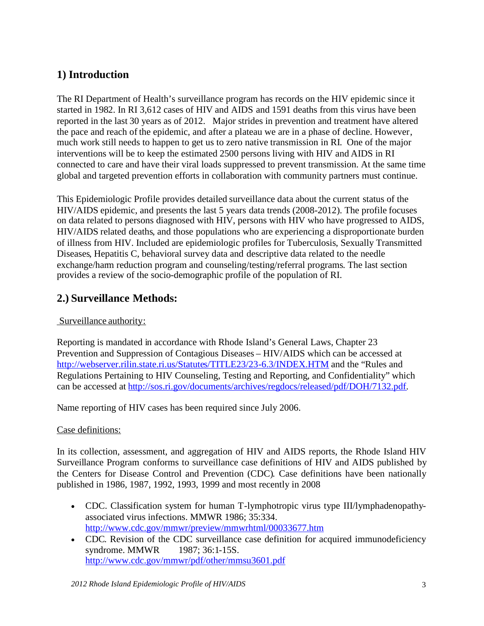# **1) Introduction**

The RI Department of Health's surveillance program has records on the HIV epidemic since it started in 1982. In RI 3,612 cases of HIV and AIDS and 1591 deaths from this virus have been reported in the last 30 years as of 2012. Major strides in prevention and treatment have altered the pace and reach of the epidemic, and after a plateau we are in a phase of decline. However, much work still needs to happen to get us to zero native transmission in RI. One of the major interventions will be to keep the estimated 2500 persons living with HIV and AIDS in RI connected to care and have their viral loads suppressed to prevent transmission. At the same time global and targeted prevention efforts in collaboration with community partners must continue.

This Epidemiologic Profile provides detailed surveillance data about the current status of the HIV/AIDS epidemic, and presents the last 5 years data trends (2008-2012). The profile focuses on data related to persons diagnosed with HIV, persons with HIV who have progressed to AIDS, HIV/AIDS related deaths, and those populations who are experiencing a disproportionate burden of illness from HIV. Included are epidemiologic profiles for Tuberculosis, Sexually Transmitted Diseases, Hepatitis C, behavioral survey data and descriptive data related to the needle exchange/harm reduction program and counseling/testing/referral programs. The last section provides a review of the socio-demographic profile of the population of RI.

# **2.) Surveillance Methods:**

### Surveillance authority:

Reporting is mandated in accordance with Rhode Island's General Laws, Chapter 23 Prevention and Suppression of Contagious Diseases – HIV/AIDS which can be accessed at <http://webserver.rilin.state.ri.us/Statutes/TITLE23/23-6.3/INDEX.HTM> and the "Rules and Regulations Pertaining to HIV Counseling, Testing and Reporting, and Confidentiality" which can be accessed at [http://sos.ri.gov/documents/archives/regdocs/released/pdf/DOH/7132.pdf.](http://sos.ri.gov/documents/archives/regdocs/released/pdf/DOH/7132.pdf)

Name reporting of HIV cases has been required since July 2006.

### Case definitions:

In its collection, assessment, and aggregation of HIV and AIDS reports, the Rhode Island HIV Surveillance Program conforms to surveillance case definitions of HIV and AIDS published by the Centers for Disease Control and Prevention (CDC). Case definitions have been nationally published in 1986, 1987, 1992, 1993, 1999 and most recently in 2008

- CDC. Classification system for human T-lymphotropic virus type III/lymphadenopathyassociated virus infections. MMWR 1986; 35:334. <http://www.cdc.gov/mmwr/preview/mmwrhtml/00033677.htm>
- CDC. Revision of the CDC surveillance case definition for acquired immunodeficiency syndrome. MMWR 1987: 36:1-15S. <http://www.cdc.gov/mmwr/pdf/other/mmsu3601.pdf>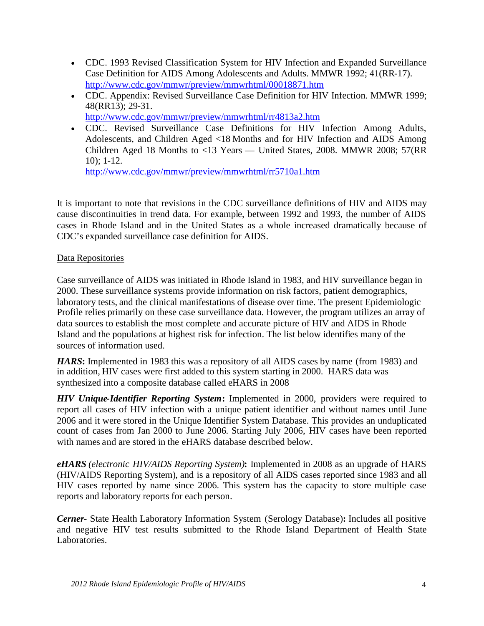- CDC. 1993 Revised Classification System for HIV Infection and Expanded Surveillance Case Definition for AIDS Among Adolescents and Adults. MMWR 1992; 41(RR-17). <http://www.cdc.gov/mmwr/preview/mmwrhtml/00018871.htm>
- CDC. Appendix: Revised Surveillance Case Definition for HIV Infection. MMWR 1999; 48(RR13); 29-31.
	- <http://www.cdc.gov/mmwr/preview/mmwrhtml/rr4813a2.htm>
- CDC. Revised Surveillance Case Definitions for HIV Infection Among Adults, Adolescents, and Children Aged <18 Months and for HIV Infection and AIDS Among Children Aged 18 Months to <13 Years — United States, 2008. MMWR 2008; 57(RR 10); 1-12.

<http://www.cdc.gov/mmwr/preview/mmwrhtml/rr5710a1.htm>

It is important to note that revisions in the CDC surveillance definitions of HIV and AIDS may cause discontinuities in trend data. For example, between 1992 and 1993, the number of AIDS cases in Rhode Island and in the United States as a whole increased dramatically because of CDC's expanded surveillance case definition for AIDS.

### Data Repositories

Case surveillance of AIDS was initiated in Rhode Island in 1983, and HIV surveillance began in 2000. These surveillance systems provide information on risk factors, patient demographics, laboratory tests, and the clinical manifestations of disease over time. The present Epidemiologic Profile relies primarily on these case surveillance data. However, the program utilizes an array of data sources to establish the most complete and accurate picture of HIV and AIDS in Rhode Island and the populations at highest risk for infection. The list below identifies many of the sources of information used.

*HARS***:** Implemented in 1983 this was a repository of all AIDS cases by name (from 1983) and in addition, HIV cases were first added to this system starting in 2000. HARS data was synthesized into a composite database called eHARS in 2008

*HIV Unique-Identifier Reporting System***:** Implemented in 2000, providers were required to report all cases of HIV infection with a unique patient identifier and without names until June 2006 and it were stored in the Unique Identifier System Database. This provides an unduplicated count of cases from Jan 2000 to June 2006. Starting July 2006, HIV cases have been reported with names and are stored in the eHARS database described below.

*eHARS (electronic HIV/AIDS Reporting System)***:** Implemented in 2008 as an upgrade of HARS (HIV/AIDS Reporting System), and is a repository of all AIDS cases reported since 1983 and all HIV cases reported by name since 2006. This system has the capacity to store multiple case reports and laboratory reports for each person.

*Cerner***-** State Health Laboratory Information System (Serology Database)**:** Includes all positive and negative HIV test results submitted to the Rhode Island Department of Health State Laboratories.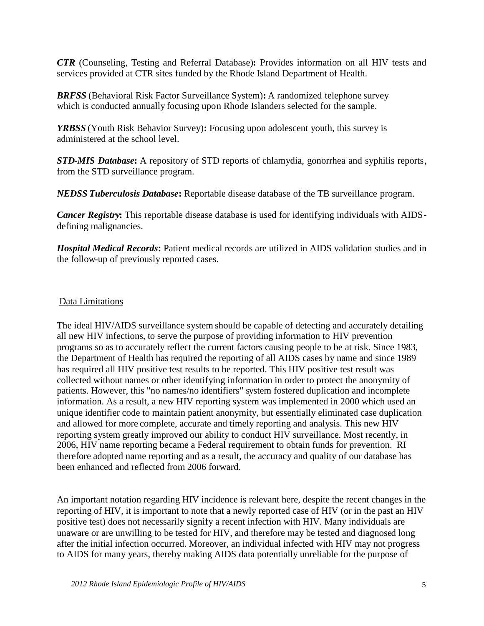*CTR* (Counseling, Testing and Referral Database)**:** Provides information on all HIV tests and services provided at CTR sites funded by the Rhode Island Department of Health.

*BRFSS* (Behavioral Risk Factor Surveillance System)**:** A randomized telephone survey which is conducted annually focusing upon Rhode Islanders selected for the sample.

*YRBSS* (Youth Risk Behavior Survey)**:** Focusing upon adolescent youth, this survey is administered at the school level.

*STD-MIS Database***:** A repository of STD reports of chlamydia, gonorrhea and syphilis reports, from the STD surveillance program.

*NEDSS Tuberculosis Database***:** Reportable disease database of the TB surveillance program.

*Cancer Registry***:** This reportable disease database is used for identifying individuals with AIDSdefining malignancies.

*Hospital Medical Records***:** Patient medical records are utilized in AIDS validation studies and in the follow-up of previously reported cases.

#### Data Limitations

The ideal HIV/AIDS surveillance system should be capable of detecting and accurately detailing all new HIV infections, to serve the purpose of providing information to HIV prevention programs so as to accurately reflect the current factors causing people to be at risk. Since 1983, the Department of Health has required the reporting of all AIDS cases by name and since 1989 has required all HIV positive test results to be reported. This HIV positive test result was collected without names or other identifying information in order to protect the anonymity of patients. However, this "no names/no identifiers" system fostered duplication and incomplete information. As a result, a new HIV reporting system was implemented in 2000 which used an unique identifier code to maintain patient anonymity, but essentially eliminated case duplication and allowed for more complete, accurate and timely reporting and analysis. This new HIV reporting system greatly improved our ability to conduct HIV surveillance. Most recently, in 2006, HIV name reporting became a Federal requirement to obtain funds for prevention. RI therefore adopted name reporting and as a result, the accuracy and quality of our database has been enhanced and reflected from 2006 forward.

An important notation regarding HIV incidence is relevant here, despite the recent changes in the reporting of HIV, it is important to note that a newly reported case of HIV (or in the past an HIV positive test) does not necessarily signify a recent infection with HIV. Many individuals are unaware or are unwilling to be tested for HIV, and therefore may be tested and diagnosed long after the initial infection occurred. Moreover, an individual infected with HIV may not progress to AIDS for many years, thereby making AIDS data potentially unreliable for the purpose of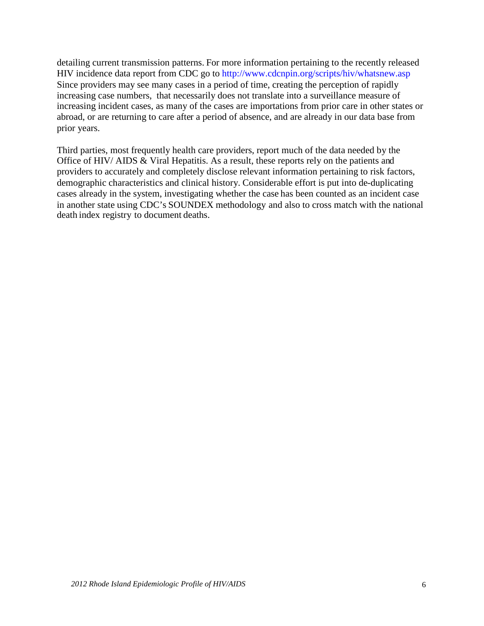detailing current transmission patterns. For more information pertaining to the recently released HIV incidence data report from CDC go to <http://www.cdcnpin.org/scripts/hiv/whatsnew.asp> Since providers may see many cases in a period of time, creating the perception of rapidly increasing case numbers, that necessarily does not translate into a surveillance measure of increasing incident cases, as many of the cases are importations from prior care in other states or abroad, or are returning to care after a period of absence, and are already in our data base from prior years.

Third parties, most frequently health care providers, report much of the data needed by the Office of HIV/ AIDS & Viral Hepatitis. As a result, these reports rely on the patients and providers to accurately and completely disclose relevant information pertaining to risk factors, demographic characteristics and clinical history. Considerable effort is put into de-duplicating cases already in the system, investigating whether the case has been counted as an incident case in another state using CDC's SOUNDEX methodology and also to cross match with the national death index registry to document deaths.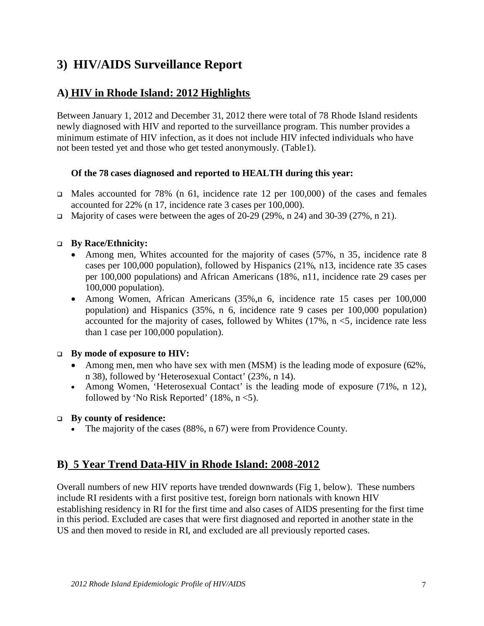# **3) HIV/AIDS Surveillance Report**

# **A) HIV in Rhode Island: 2012 Highlights**

Between January 1, 2012 and December 31, 2012 there were total of 78 Rhode Island residents newly diagnosed with HIV and reported to the surveillance program. This number provides a minimum estimate of HIV infection, as it does not include HIV infected individuals who have not been tested yet and those who get tested anonymously. (Table1).

### **Of the 78 cases diagnosed and reported to HEALTH during this year:**

- $\Box$  Males accounted for 78% (n 61, incidence rate 12 per 100,000) of the cases and females accounted for 22% (n 17, incidence rate 3 cases per 100,000).
- Majority of cases were between the ages of 20-29 (29%, n 24) and 30-39 (27%, n 21).

### **By Race/Ethnicity:**

- Among men, Whites accounted for the majority of cases (57%, n 35, incidence rate 8 cases per 100,000 population), followed by Hispanics (21%, n13, incidence rate 35 cases per 100,000 populations) and African Americans (18%, n11, incidence rate 29 cases per 100,000 population).
- Among Women, African Americans (35%, n 6, incidence rate 15 cases per 100,000 population) and Hispanics (35%, n 6, incidence rate 9 cases per 100,000 population) accounted for the majority of cases, followed by Whites  $(17\% \, \text{n} < 5)$ , incidence rate less than 1 case per 100,000 population).

### **By mode of exposure to HIV:**

- Among men, men who have sex with men (MSM) is the leading mode of exposure (62%, n 38), followed by 'Heterosexual Contact' (23%, n 14).
- Among Women, 'Heterosexual Contact' is the leading mode of exposure (71%, n 12), followed by 'No Risk Reported'  $(18\%, n < 5)$ .

### **By county of residence:**

• The majority of the cases (88%, n 67) were from Providence County.

# **B) 5 Year Trend Data-HIV in Rhode Island: 2008-2012**

Overall numbers of new HIV reports have trended downwards (Fig 1, below). These numbers include RI residents with a first positive test, foreign born nationals with known HIV establishing residency in RI for the first time and also cases of AIDS presenting for the first time in this period. Excluded are cases that were first diagnosed and reported in another state in the US and then moved to reside in RI, and excluded are all previously reported cases.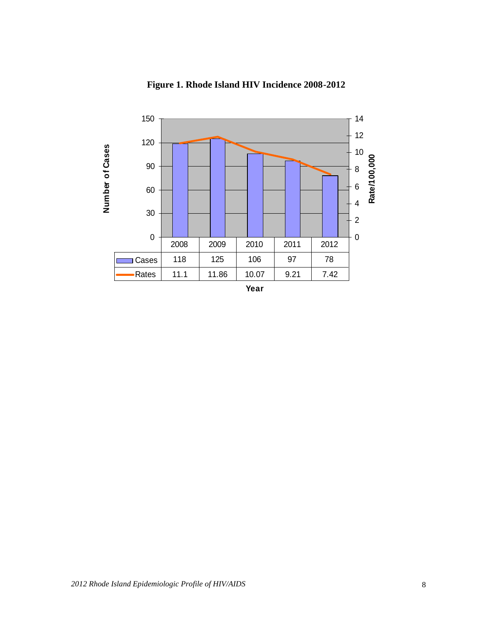

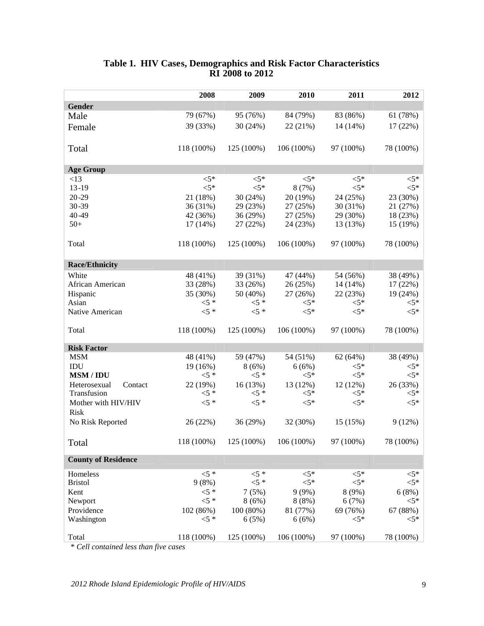|                                       | 2008       | 2009       | 2010         | 2011      | 2012           |
|---------------------------------------|------------|------------|--------------|-----------|----------------|
| Gender                                |            |            |              |           |                |
| Male                                  | 79 (67%)   | 95 (76%)   | 84 (79%)     | 83 (86%)  | 61 (78%)       |
| Female                                | 39 (33%)   | 30(24%)    | 22 (21%)     | 14 (14%)  | 17(22%)        |
|                                       |            |            |              |           |                |
| Total                                 | 118 (100%) | 125 (100%) | 106 (100%)   | 97 (100%) | 78 (100%)      |
|                                       |            |            |              |           |                |
| <b>Age Group</b>                      |            |            |              |           |                |
| <13                                   | $< 5*$     | $<$ 5*     | $<$ 5*       | $<$ 5*    | $<$ 5*         |
| $13 - 19$                             | $< 5*$     | $< 5*$     | 8(7%)        | ${<}5*$   | $< 5*$         |
| $20 - 29$                             | 21 (18%)   | 30(24%)    | 20 (19%)     | 24 (25%)  | 23 (30%)       |
| $30 - 39$                             | 36 (31%)   | 29 (23%)   | 27 (25%)     | 30 (31%)  | 21 (27%)       |
| 40-49                                 | 42 (36%)   | 36 (29%)   | 27 (25%)     | 29 (30%)  | 18(23%)        |
| $50+$                                 | $17(14\%)$ | 27 (22%)   | 24 (23%)     | 13 (13%)  | 15 (19%)       |
|                                       |            |            |              |           |                |
| Total                                 | 118 (100%) | 125 (100%) | $106(100\%)$ | 97 (100%) | 78 (100%)      |
|                                       |            |            |              |           |                |
| <b>Race/Ethnicity</b>                 |            |            |              |           |                |
| White                                 | 48 (41%)   | 39 (31%)   | 47 (44%)     | 54 (56%)  | 38 (49%)       |
| African American                      | 33 (28%)   | 33 (26%)   | 26 (25%)     | 14 (14%)  | 17(22%)        |
| Hispanic                              | 35 (30%)   | 50 (40%)   | 27 (26%)     | 22 (23%)  | 19(24%)        |
| Asian                                 | $<$ 5 *    | $<$ 5 *    | $<5*$        | $<$ 5*    | $<$ 5*         |
| Native American                       | $<$ 5 *    | $<$ 5 *    | $< 5*$       | $< 5*$    | $< 5*$         |
| Total                                 | 118 (100%) | 125 (100%) | 106 (100%)   | 97 (100%) | 78 (100%)      |
|                                       |            |            |              |           |                |
| <b>Risk Factor</b>                    |            |            |              |           |                |
| <b>MSM</b>                            | 48 (41%)   | 59 (47%)   | 54 (51%)     | 62 (64%)  | 38 (49%)       |
| IDU                                   | 19 (16%)   | 8(6%)      | 6(6%)        | $<$ 5*    | $<$ 5*         |
| <b>MSM / IDU</b>                      | $<$ 5 *    | $<$ 5 *    | $<$ 5*       | $<$ 5*    | $<$ 5*         |
| Heterosexual<br>Contact               | 22 (19%)   | 16(13%)    | 13 (12%)     | 12 (12%)  | 26 (33%)       |
| Transfusion                           | $<$ 5 *    | $<$ 5 *    | $<5*$        | $<$ 5*    | $<$ 5*         |
| Mother with HIV/HIV                   | $<$ 5 *    | $5*$       | $< 5*$       | $<$ 5*    | $< 5*$         |
| <b>Risk</b>                           |            |            |              |           |                |
| No Risk Reported                      | 26 (22%)   | 36 (29%)   | 32 (30%)     | 15 (15%)  | 9(12%)         |
|                                       |            |            |              |           |                |
| Total                                 | 118 (100%) | 125 (100%) | 106 (100%)   | 97 (100%) | 78 (100%)      |
| <b>County of Residence</b>            |            |            |              |           |                |
| Homeless                              | $<$ 5 *    | $<$ 5 *    | $<$ 5*       | $<$ 5*    | $<5\mathrm{*}$ |
| <b>Bristol</b>                        | 9(8%)      | $<$ 5 *    | $< 5*$       | $< 5*$    | $< 5*$         |
| Kent                                  | $<$ 5 *    | 7(5%)      | 9(9%)        | 8 (9%)    | 6(8%)          |
| Newport                               | $<$ 5 *    | 8(6%)      | 8(8%)        | 6(7%)     | $<$ 5*         |
| Providence                            | 102 (86%)  | 100(80%)   | 81 (77%)     | 69 (76%)  | 67 (88%)       |
| Washington                            | $<$ 5 *    | 6(5%)      | 6(6%)        | $<$ 5*    | $<$ 5*         |
| Total                                 | 118 (100%) | 125 (100%) | 106 (100%)   | 97 (100%) | 78 (100%)      |
| * Cell contained less than five cases |            |            |              |           |                |

#### **Table 1. HIV Cases, Demographics and Risk Factor Characteristics RI 2008 to 2012**

*\* Cell contained less than five cases*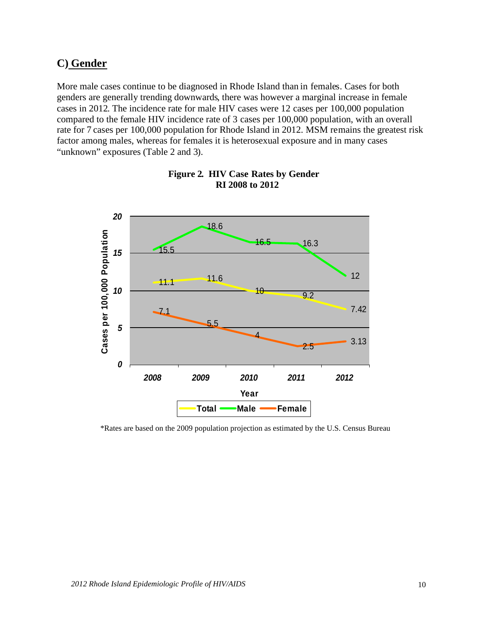# **C) Gender**

More male cases continue to be diagnosed in Rhode Island than in females. Cases for both genders are generally trending downwards, there was however a marginal increase in female cases in 2012. The incidence rate for male HIV cases were 12 cases per 100,000 population compared to the female HIV incidence rate of 3 cases per 100,000 population, with an overall rate for 7 cases per 100,000 population for Rhode Island in 2012. MSM remains the greatest risk factor among males, whereas for females it is heterosexual exposure and in many cases "unknown" exposures (Table 2 and 3).



#### **Figure 2. HIV Case Rates by Gender RI 2008 to 2012**

\*Rates are based on the 2009 population projection as estimated by the U.S. Census Bureau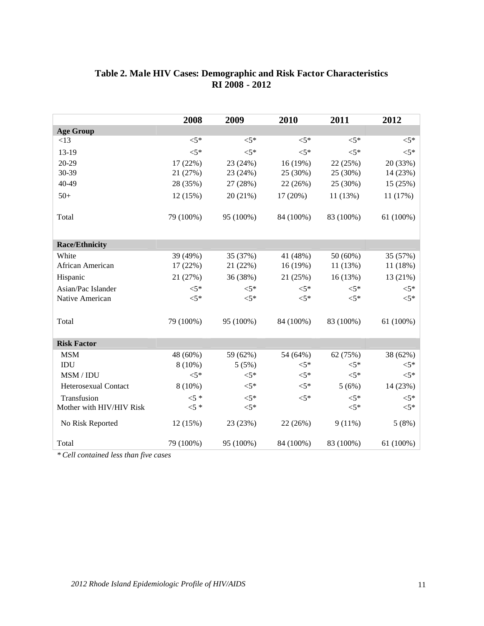|                          | 2008      | 2009      | 2010      | 2011      | 2012      |
|--------------------------|-----------|-----------|-----------|-----------|-----------|
| <b>Age Group</b>         |           |           |           |           |           |
| <13                      | $< 5*$    | $< 5*$    | $< 5*$    | $< 5*$    | $<$ 5*    |
| 13-19                    | $< 5*$    | $< 5*$    | $< 5*$    | $< 5*$    | $< 5*$    |
| 20-29                    | 17 (22%)  | 23 (24%)  | 16(19%)   | 22 (25%)  | 20 (33%)  |
| 30-39                    | 21 (27%)  | 23 (24%)  | 25 (30%)  | 25 (30%)  | 14 (23%)  |
| 40-49                    | 28 (35%)  | 27 (28%)  | 22 (26%)  | 25 (30%)  | 15 (25%)  |
| $50+$                    | 12 (15%)  | 20 (21%)  | 17 (20%)  | 11 (13%)  | 11 (17%)  |
| Total                    | 79 (100%) | 95 (100%) | 84 (100%) | 83 (100%) | 61 (100%) |
| <b>Race/Ethnicity</b>    |           |           |           |           |           |
| White                    | 39 (49%)  | 35 (37%)  | 41 (48%)  | 50 (60%)  | 35 (57%)  |
| African American         | 17 (22%)  | 21 (22%)  | 16(19%)   | 11 (13%)  | 11 (18%)  |
| Hispanic                 | 21 (27%)  | 36 (38%)  | 21 (25%)  | 16 (13%)  | 13 (21%)  |
| Asian/Pac Islander       | $< 5*$    | $< 5*$    | $\leq 5*$ | $< 5*$    | $< 5*$    |
| Native American          | $< 5*$    | $<$ 5*    | $< 5*$    | $<$ 5*    | $<$ 5*    |
| Total                    | 79 (100%) | 95 (100%) | 84 (100%) | 83 (100%) | 61 (100%) |
| <b>Risk Factor</b>       |           |           |           |           |           |
| <b>MSM</b>               | 48 (60%)  | 59 (62%)  | 54 (64%)  | 62 (75%)  | 38 (62%)  |
| IDU                      | $8(10\%)$ | 5(5%)     | $<$ 5*    | $<$ 5*    | $<$ 5*    |
| MSM / IDU                | $< 5*$    | $< 5*$    | $<$ 5*    | $< 5*$    | $< 5*$    |
| Heterosexual Contact     | $8(10\%)$ | $< 5*$    | $< 5*$    | 5(6%)     | 14 (23%)  |
| Transfusion              | $5 *$     | $< 5*$    | $< 5*$    | $< 5*$    | $< 5*$    |
| Mother with HIV/HIV Risk | $<$ 5 *   | $< 5*$    |           | $<$ 5*    | $<$ 5*    |
| No Risk Reported         | 12 (15%)  | 23 (23%)  | 22 (26%)  | $9(11\%)$ | 5(8%)     |
| Total                    | 79 (100%) | 95 (100%) | 84 (100%) | 83 (100%) | 61 (100%) |

## **Table 2. Male HIV Cases: Demographic and Risk Factor Characteristics RI 2008 - 2012**

*\* Cell contained less than five cases*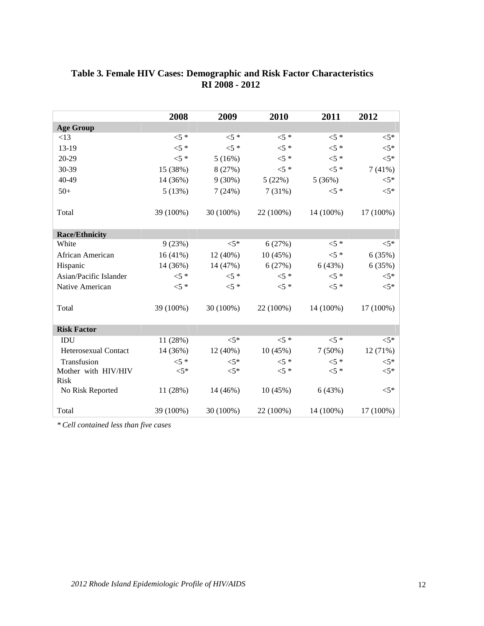|                        | 2008      | 2009       | 2010      | 2011      | 2012      |
|------------------------|-----------|------------|-----------|-----------|-----------|
| <b>Age Group</b>       |           |            |           |           |           |
| <13                    | $<$ 5 *   | $<$ 5 *    | $<$ 5 *   | $<$ 5 *   | $<$ 5*    |
| 13-19                  | $<$ 5 *   | $<$ 5 *    | $<$ 5 *   | $<$ 5 *   | $< 5*$    |
| 20-29                  | $<$ 5 *   | 5(16%)     | $<$ 5 *   | $<$ 5 *   | $< 5*$    |
| 30-39                  | 15 (38%)  | 8(27%)     | $5*$      | $<$ 5 *   | 7(41%)    |
| 40-49                  | 14 (36%)  | $9(30\%)$  | 5(22%)    | 5(36%)    | $<$ 5*    |
| $50+$                  | 5(13%)    | 7(24%)     | 7(31%)    | $<$ 5 *   | $<$ 5*    |
| Total                  | 39 (100%) | 30 (100%)  | 22 (100%) | 14 (100%) | 17 (100%) |
| <b>Race/Ethnicity</b>  |           |            |           |           |           |
| White                  | 9(23%)    | $<$ 5*     | 6(27%)    | $<$ 5 *   | $< 5*$    |
| African American       | 16(41%)   | 12 (40%)   | 10(45%)   | $<$ 5 *   | 6(35%)    |
| Hispanic               | 14 (36%)  | 14 (47%)   | 6(27%)    | 6(43%)    | 6(35%)    |
| Asian/Pacific Islander | $<5$ *    | ${<}5*$    | $<5$ *    | $<$ 5 *   | $< 5*$    |
| Native American        | $<$ 5 *   | $<$ 5 *    | $<$ 5 *   | $<$ 5 *   | $<$ 5*    |
| Total                  | 39 (100%) | 30 (100%)  | 22 (100%) | 14 (100%) | 17 (100%) |
| <b>Risk Factor</b>     |           |            |           |           |           |
| IDU                    | 11 (28%)  | ${<}5*$    | ${<}5*$   | $<$ 5 *   | $<5*$     |
| Heterosexual Contact   | 14 (36%)  | $12(40\%)$ | 10(45%)   | $7(50\%)$ | 12(71%)   |
| Transfusion            | $<$ 5 *   | $<$ 5*     | $5*$      | $<$ 5 *   | $<$ 5*    |
| Mother with HIV/HIV    | $< 5*$    | $<$ 5*     | $<$ 5 *   | $<$ 5 *   | $< 5*$    |
| <b>Risk</b>            |           |            |           |           |           |
| No Risk Reported       | 11 (28%)  | 14 (46%)   | 10(45%)   | 6(43%)    | $< 5*$    |
| Total                  | 39 (100%) | 30 (100%)  | 22 (100%) | 14 (100%) | 17 (100%) |

### **Table 3. Female HIV Cases: Demographic and Risk Factor Characteristics RI 2008 - 2012**

*\* Cell contained less than five cases*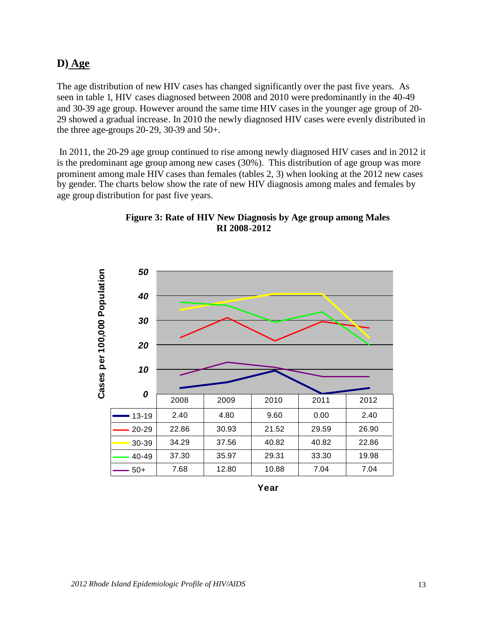### **D) Age**

The age distribution of new HIV cases has changed significantly over the past five years. As seen in table 1, HIV cases diagnosed between 2008 and 2010 were predominantly in the 40-49 and 30-39 age group. However around the same time HIV cases in the younger age group of 20- 29 showed a gradual increase. In 2010 the newly diagnosed HIV cases were evenly distributed in the three age-groups 20-29, 30-39 and 50+.

In 2011, the 20-29 age group continued to rise among newly diagnosed HIV cases and in 2012 it is the predominant age group among new cases (30%). This distribution of age group was more prominent among male HIV cases than females (tables 2, 3) when looking at the 2012 new cases by gender. The charts below show the rate of new HIV diagnosis among males and females by age group distribution for past five years.





**Year**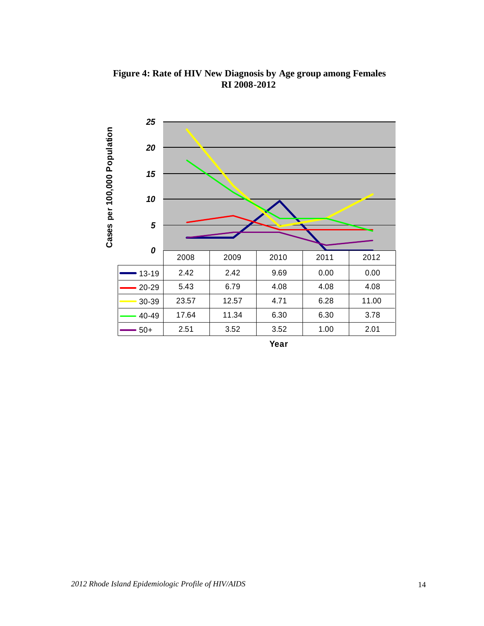

**Figure 4: Rate of HIV New Diagnosis by Age group among Females RI 2008-2012**

**Year**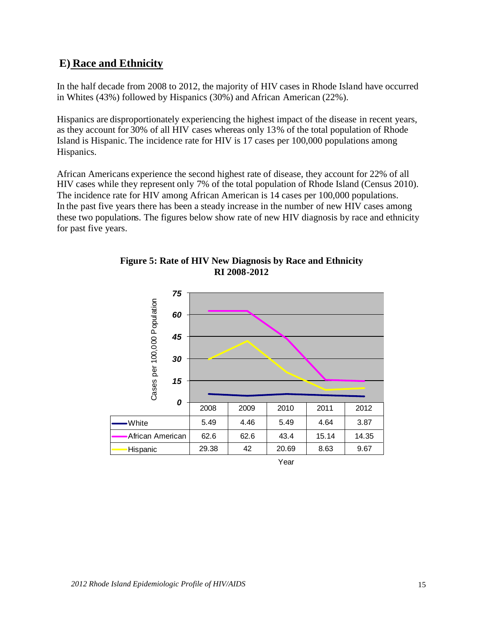# **E) Race and Ethnicity**

In the half decade from 2008 to 2012, the majority of HIV cases in Rhode Island have occurred in Whites (43%) followed by Hispanics (30%) and African American (22%).

Hispanics are disproportionately experiencing the highest impact of the disease in recent years, as they account for 30% of all HIV cases whereas only 13% of the total population of Rhode Island is Hispanic. The incidence rate for HIV is 17 cases per 100,000 populations among Hispanics.

African Americans experience the second highest rate of disease, they account for 22% of all HIV cases while they represent only 7% of the total population of Rhode Island (Census 2010). The incidence rate for HIV among African American is 14 cases per 100,000 populations. In the past five years there has been a steady increase in the number of new HIV cases among these two populations. The figures below show rate of new HIV diagnosis by race and ethnicity for past five years.



### **Figure 5: Rate of HIV New Diagnosis by Race and Ethnicity RI 2008-2012**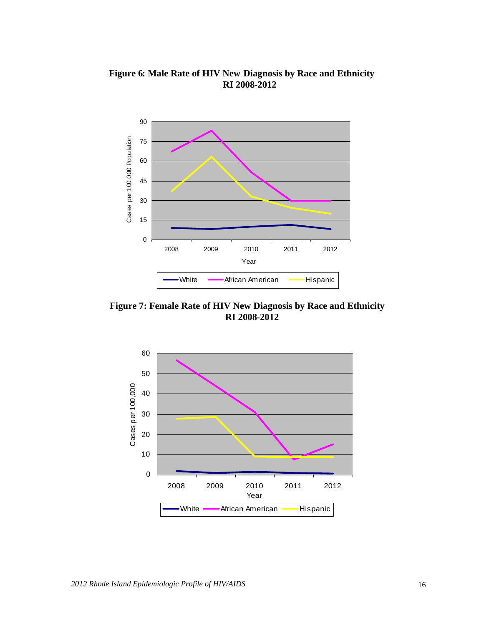

**Figure 6: Male Rate of HIV New Diagnosis by Race and Ethnicity RI 2008-2012**

**Figure 7: Female Rate of HIV New Diagnosis by Race and Ethnicity RI 2008-2012**

White **- African American** - Hispanic

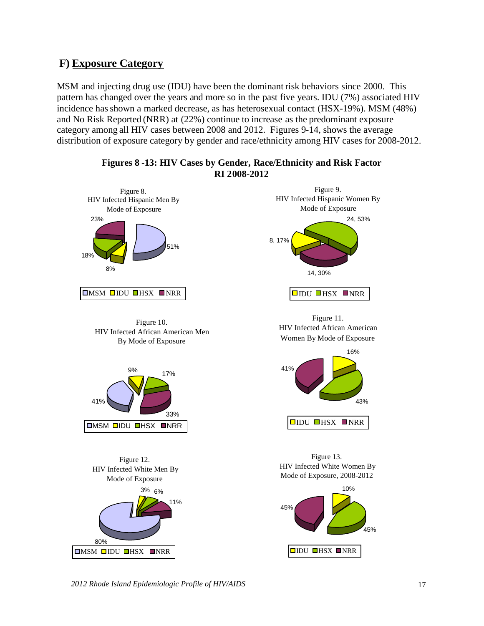# **F) Exposure Category**

MSM and injecting drug use (IDU) have been the dominant risk behaviors since 2000. This pattern has changed over the years and more so in the past five years. IDU (7%) associated HIV incidence hasshown a marked decrease, as has heterosexual contact (HSX-19%). MSM (48%) and No Risk Reported (NRR) at (22%) continue to increase as the predominant exposure category among all HIV cases between 2008 and 2012. Figures 9-14, shows the average distribution of exposure category by gender and race/ethnicity among HIV cases for 2008-2012.





*2012 Rhode Island Epidemiologic Profile of HIV/AIDS* 17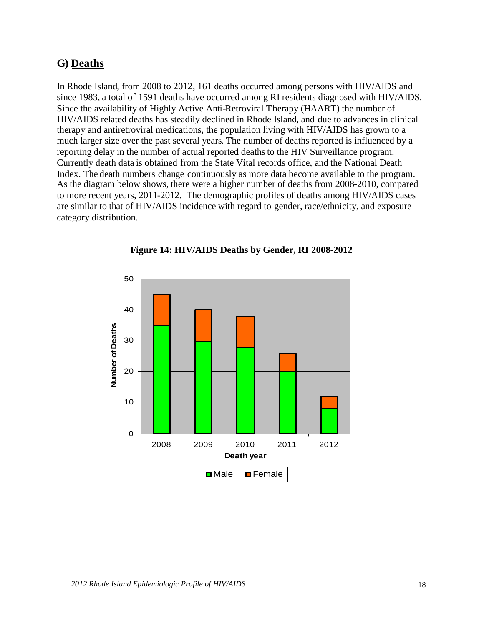## **G) Deaths**

In Rhode Island, from 2008 to 2012, 161 deaths occurred among persons with HIV/AIDS and since 1983, a total of 1591 deaths have occurred among RI residents diagnosed with HIV/AIDS. Since the availability of Highly Active Anti-Retroviral Therapy (HAART) the number of HIV/AIDS related deaths has steadily declined in Rhode Island, and due to advances in clinical therapy and antiretroviral medications, the population living with HIV/AIDS has grown to a much larger size over the past several years. The number of deaths reported is influenced by a reporting delay in the number of actual reported deaths to the HIV Surveillance program. Currently death data is obtained from the State Vital records office, and the National Death Index. The death numbers change continuously as more data become available to the program. As the diagram below shows, there were a higher number of deaths from 2008-2010, compared to more recent years, 2011-2012. The demographic profiles of deaths among HIV/AIDS cases are similar to that of HIV/AIDS incidence with regard to gender, race/ethnicity, and exposure category distribution.



#### **Figure 14: HIV/AIDS Deaths by Gender, RI 2008-2012**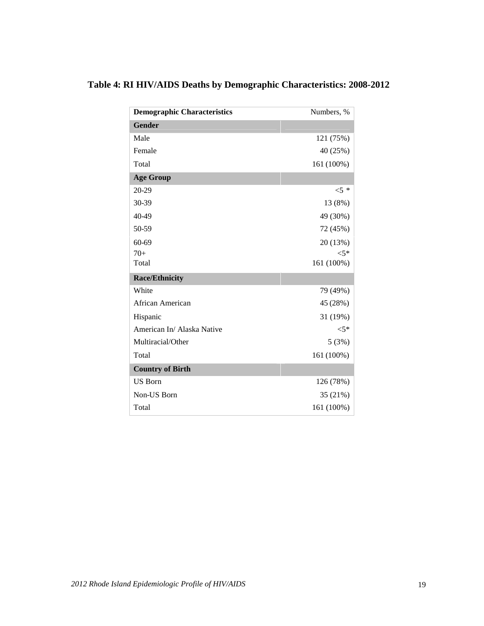| <b>Demographic Characteristics</b> | Numbers, % |
|------------------------------------|------------|
| <b>Gender</b>                      |            |
| Male                               | 121 (75%)  |
| Female                             | 40 (25%)   |
| Total                              | 161 (100%) |
| <b>Age Group</b>                   |            |
| 20-29                              | ${<}5$ *   |
| 30-39                              | 13 (8%)    |
| 40-49                              | 49 (30%)   |
| 50-59                              | 72 (45%)   |
| 60-69                              | 20 (13%)   |
| $70+$                              | ${<}5*$    |
| Total                              | 161 (100%) |
| <b>Race/Ethnicity</b>              |            |
| White                              | 79 (49%)   |
| African American                   | 45 (28%)   |
| Hispanic                           | 31 (19%)   |
| American In/ Alaska Native         | ${<}5*$    |
| Multiracial/Other                  | 5(3%)      |
| Total                              | 161 (100%) |
| <b>Country of Birth</b>            |            |
| <b>US Born</b>                     | 126 (78%)  |
| Non-US Born                        | 35 (21%)   |
| Total                              | 161 (100%) |

# **Table 4: RI HIV/AIDS Deaths by Demographic Characteristics: 2008-2012**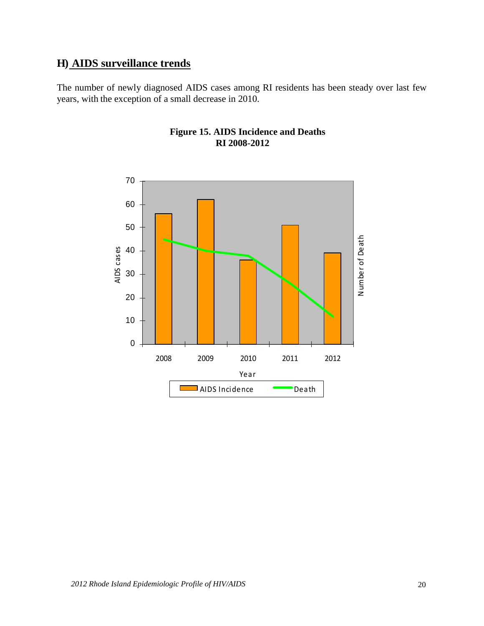# **H) AIDS surveillance trends**

The number of newly diagnosed AIDS cases among RI residents has been steady over last few years, with the exception of a small decrease in 2010.



### **Figure 15. AIDS Incidence and Deaths RI 2008-2012**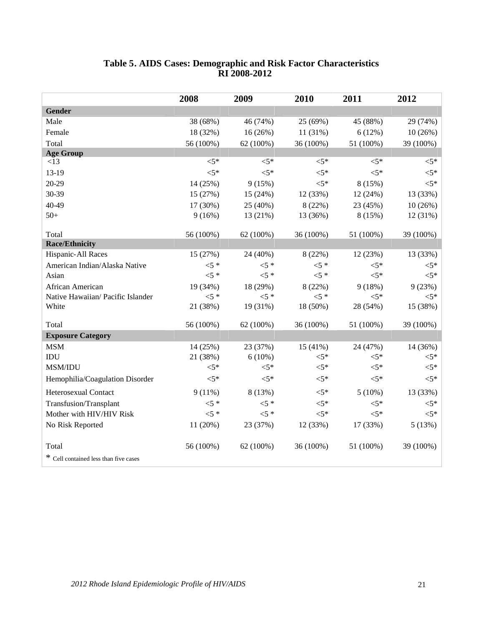|                                       | 2008      | 2009      | 2010      | 2011      | 2012      |
|---------------------------------------|-----------|-----------|-----------|-----------|-----------|
| <b>Gender</b>                         |           |           |           |           |           |
| Male                                  | 38 (68%)  | 46 (74%)  | 25 (69%)  | 45 (88%)  | 29 (74%)  |
| Female                                | 18 (32%)  | 16 (26%)  | 11 (31%)  | 6(12%)    | 10(26%)   |
| Total                                 | 56 (100%) | 62 (100%) | 36 (100%) | 51 (100%) | 39 (100%) |
| <b>Age Group</b>                      |           |           |           |           |           |
| <13                                   | $< 5*$    | $< 5*$    | $<$ 5*    | $< 5*$    | $<$ 5*    |
| 13-19                                 | $< 5*$    | $< 5*$    | $< 5*$    | $< 5*$    | $< 5*$    |
| 20-29                                 | 14 (25%)  | 9(15%)    | $< 5*$    | 8 (15%)   | $< 5*$    |
| 30-39                                 | 15 (27%)  | 15 (24%)  | 12 (33%)  | 12 (24%)  | 13 (33%)  |
| 40-49                                 | 17 (30%)  | 25 (40%)  | 8 (22%)   | 23 (45%)  | 10(26%)   |
| $50+$                                 | 9(16%)    | 13 (21%)  | 13 (36%)  | 8(15%)    | 12 (31%)  |
|                                       |           |           |           |           |           |
| Total                                 | 56 (100%) | 62 (100%) | 36 (100%) | 51 (100%) | 39 (100%) |
| <b>Race/Ethnicity</b>                 |           |           |           |           |           |
| Hispanic-All Races                    | 15 (27%)  | 24 (40%)  | 8 (22%)   | 12 (23%)  | 13 (33%)  |
| American Indian/Alaska Native         | $5*$      | $<$ 5 *   | $5*$      | $< 5*$    | $<$ 5*    |
| Asian                                 | $5*$      | $<$ 5 *   | $<$ 5 *   | $< 5*$    | $<$ 5*    |
| African American                      | 19 (34%)  | 18 (29%)  | 8(22%)    | 9(18%)    | 9(23%)    |
| Native Hawaiian/ Pacific Islander     | $5*$      | $5*$      | $5 *$     | $< 5*$    | $< 5*$    |
| White                                 | 21 (38%)  | 19 (31%)  | 18 (50%)  | 28 (54%)  | 15 (38%)  |
| Total                                 | 56 (100%) | 62 (100%) | 36 (100%) | 51 (100%) | 39 (100%) |
| <b>Exposure Category</b>              |           |           |           |           |           |
| <b>MSM</b>                            | 14 (25%)  | 23 (37%)  | 15(41%)   | 24 (47%)  | 14 (36%)  |
| IDU                                   | 21 (38%)  | $6(10\%)$ | $< 5*$    | $< 5*$    | $<$ 5*    |
| MSM/IDU                               | $< 5*$    | $<$ 5*    | $<$ 5*    | $< 5*$    | $<$ 5*    |
| Hemophilia/Coagulation Disorder       | $< 5*$    | $< 5*$    | ${<}5*$   | ${<}5*$   | $< 5*$    |
| Heterosexual Contact                  | $9(11\%)$ | 8 (13%)   | ${<}5*$   | $5(10\%)$ | 13 (33%)  |
| Transfusion/Transplant                | $5*$      | $5*$      | $< 5*$    | $< 5*$    | $< 5*$    |
| Mother with HIV/HIV Risk              | $5*$      | $5*$      | $<$ 5*    | $< 5*$    | $< 5*$    |
| No Risk Reported                      | 11 (20%)  | 23 (37%)  | 12 (33%)  | 17 (33%)  | 5(13%)    |
| Total                                 | 56 (100%) | 62(100%)  | 36 (100%) | 51 (100%) | 39 (100%) |
| * Cell contained less than five cases |           |           |           |           |           |
|                                       |           |           |           |           |           |

#### **Table 5. AIDS Cases: Demographic and Risk Factor Characteristics RI 2008-2012**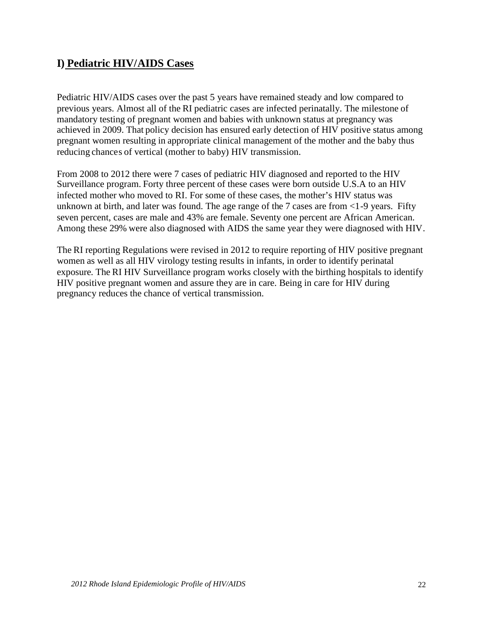# **I) Pediatric HIV/AIDS Cases**

Pediatric HIV/AIDS cases over the past 5 years have remained steady and low compared to previous years. Almost all of the RI pediatric cases are infected perinatally. The milestone of mandatory testing of pregnant women and babies with unknown status at pregnancy was achieved in 2009. That policy decision has ensured early detection of HIV positive status among pregnant women resulting in appropriate clinical management of the mother and the baby thus reducing chances of vertical (mother to baby) HIV transmission.

From 2008 to 2012 there were 7 cases of pediatric HIV diagnosed and reported to the HIV Surveillance program. Forty three percent of these cases were born outside U.S.A to an HIV infected mother who moved to RI. For some of these cases, the mother's HIV status was unknown at birth, and later was found. The age range of the 7 cases are from  $\langle$ 1-9 years. Fifty seven percent, cases are male and 43% are female. Seventy one percent are African American. Among these 29% were also diagnosed with AIDS the same year they were diagnosed with HIV.

The RI reporting Regulations were revised in 2012 to require reporting of HIV positive pregnant women as well as all HIV virology testing results in infants, in order to identify perinatal exposure. The RI HIV Surveillance program works closely with the birthing hospitals to identify HIV positive pregnant women and assure they are in care. Being in care for HIV during pregnancy reduces the chance of vertical transmission.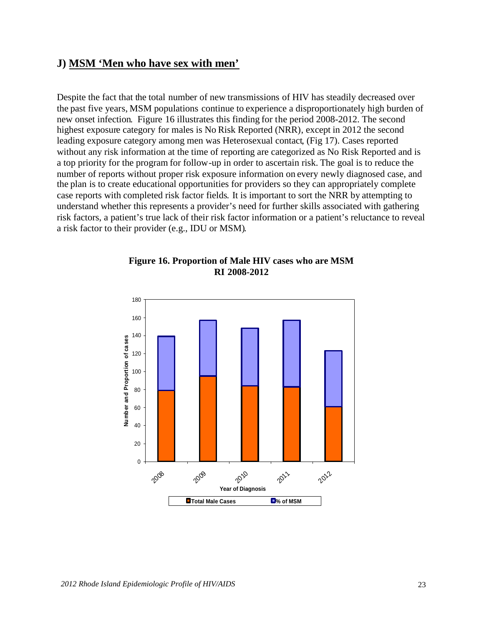# **J) MSM 'Men who have sex with men'**

Despite the fact that the total number of new transmissions of HIV has steadily decreased over the past five years, MSM populations continue to experience a disproportionately high burden of new onset infection. Figure 16 illustrates this finding for the period 2008-2012. The second highest exposure category for males is No Risk Reported (NRR), except in 2012 the second leading exposure category among men was Heterosexual contact, (Fig 17). Cases reported without any risk information at the time of reporting are categorized as No Risk Reported and is a top priority for the program for follow-up in order to ascertain risk. The goal is to reduce the number of reports without proper risk exposure information on every newly diagnosed case, and the plan is to create educational opportunities for providers so they can appropriately complete case reports with completed risk factor fields. It is important to sort the NRR by attempting to understand whether this represents a provider's need for further skills associated with gathering risk factors, a patient's true lack of their risk factor information or a patient's reluctance to reveal a risk factor to their provider (e.g., IDU or MSM).



#### **Figure 16. Proportion of Male HIV cases who are MSM RI 2008-2012**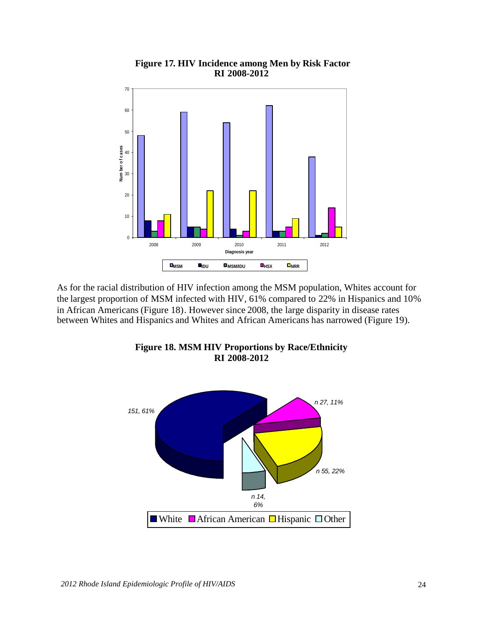

#### **Figure 17. HIV Incidence among Men by Risk Factor RI 2008-2012**

As for the racial distribution of HIV infection among the MSM population, Whites account for the largest proportion of MSM infected with HIV, 61% compared to 22% in Hispanics and 10% in African Americans (Figure 18). However since 2008, the large disparity in disease rates between Whites and Hispanics and Whites and African Americans has narrowed (Figure 19).



**Figure 18. MSM HIV Proportions by Race/Ethnicity RI 2008-2012**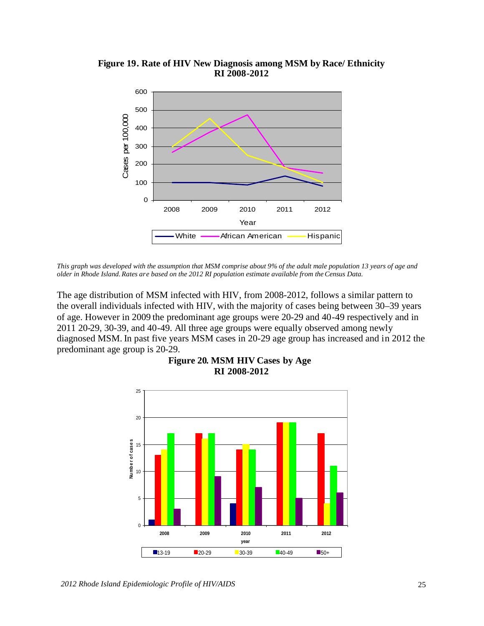

**Figure 19. Rate of HIV New Diagnosis among MSM by Race/ Ethnicity RI 2008-2012**

*This graph was developed with the assumption that MSM comprise about 9% of the adult male population 13 years of age and older in Rhode Island. Rates are based on the 2012 RI population estimate available from theCensus Data.*

The age distribution of MSM infected with HIV, from 2008-2012, follows a similar pattern to the overall individuals infected with HIV, with the majority of cases being between 30–39 years of age. However in 2009 the predominant age groups were 20-29 and 40-49 respectively and in 2011 20-29, 30-39, and 40-49. All three age groups were equally observed among newly diagnosed MSM. In past five years MSM cases in 20-29 age group has increased and in 2012 the predominant age group is 20-29.



**Figure 20. MSM HIV Cases by Age RI 2008-2012**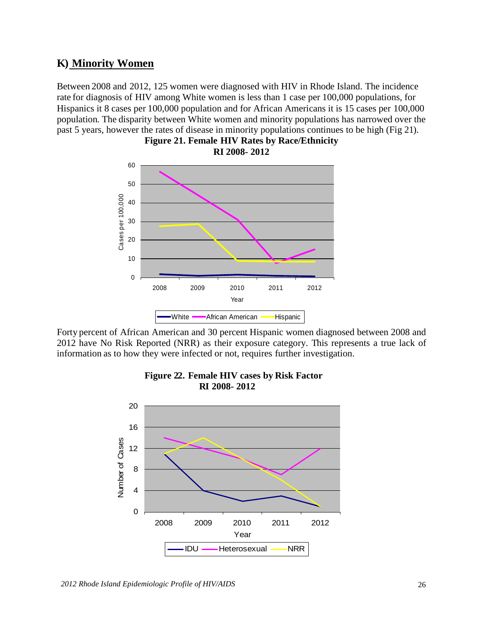### **K) Minority Women**

Between 2008 and 2012, 125 women were diagnosed with HIV in Rhode Island. The incidence rate for diagnosis of HIV among White women is less than 1 case per 100,000 populations, for Hispanics it 8 cases per 100,000 population and for African Americans it is 15 cases per 100,000 population. The disparity between White women and minority populations has narrowed over the past 5 years, however the rates of disease in minority populations continues to be high (Fig 21).



**Figure 21. Female HIV Rates by Race/Ethnicity RI 2008- 2012**

Forty percent of African American and 30 percent Hispanic women diagnosed between 2008 and 2012 have No Risk Reported (NRR) as their exposure category. This represents a true lack of information as to how they were infected or not, requires further investigation.



#### **Figure 22. Female HIV cases by Risk Factor RI 2008- 2012**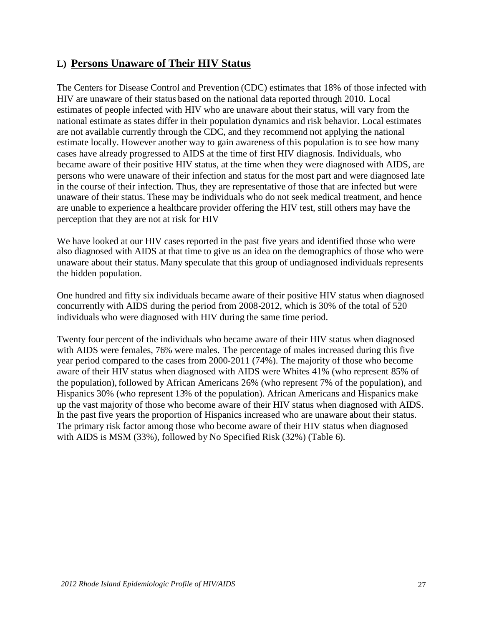### **L) Persons Unaware of Their HIV Status**

The Centers for Disease Control and Prevention (CDC) estimates that 18% of those infected with HIV are unaware of their status based on the national data reported through 2010. Local estimates of people infected with HIV who are unaware about their status, will vary from the national estimate as states differ in their population dynamics and risk behavior. Local estimates are not available currently through the CDC, and they recommend not applying the national estimate locally. However another way to gain awareness of this population is to see how many cases have already progressed to AIDS at the time of first HIV diagnosis. Individuals, who became aware of their positive HIV status, at the time when they were diagnosed with AIDS, are persons who were unaware of their infection and status for the most part and were diagnosed late in the course of their infection. Thus, they are representative of those that are infected but were unaware of their status. These may be individuals who do not seek medical treatment, and hence are unable to experience a healthcare provider offering the HIV test, still others may have the perception that they are not at risk for HIV

We have looked at our HIV cases reported in the past five years and identified those who were also diagnosed with AIDS at that time to give us an idea on the demographics of those who were unaware about their status. Many speculate that this group of undiagnosed individuals represents the hidden population.

One hundred and fifty six individuals became aware of their positive HIV status when diagnosed concurrently with AIDS during the period from 2008-2012, which is 30% of the total of 520 individuals who were diagnosed with HIV during the same time period.

Twenty four percent of the individuals who became aware of their HIV status when diagnosed with AIDS were females, 76% were males. The percentage of males increased during this five year period compared to the cases from 2000-2011 (74%). The majority of those who become aware of their HIV status when diagnosed with AIDS were Whites 41% (who represent 85% of the population), followed by African Americans 26% (who represent 7% of the population), and Hispanics 30% (who represent 13% of the population). African Americans and Hispanics make up the vast majority of those who become aware of their HIV status when diagnosed with AIDS. In the past five years the proportion of Hispanics increased who are unaware about their status. The primary risk factor among those who become aware of their HIV status when diagnosed with AIDS is MSM (33%), followed by No Specified Risk (32%) (Table 6).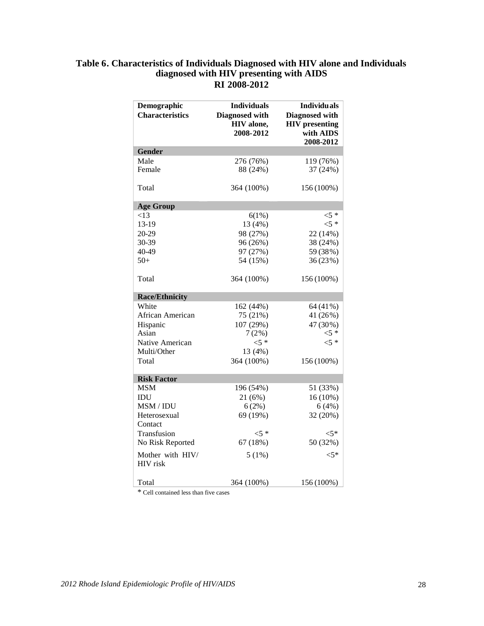#### **Table 6. Characteristics of Individuals Diagnosed with HIV alone and Individuals diagnosed with HIV presenting with AIDS RI 2008-2012**

| Demographic<br><b>Characteristics</b> | <b>Individuals</b><br>Diagnosed with<br>HIV alone,<br>2008-2012 | <b>Individuals</b><br>Diagnosed with<br><b>HIV</b> presenting<br>with AIDS<br>2008-2012 |
|---------------------------------------|-----------------------------------------------------------------|-----------------------------------------------------------------------------------------|
| <b>Gender</b>                         |                                                                 |                                                                                         |
| Male                                  | 276 (76%)                                                       | 119 (76%)                                                                               |
| Female                                | 88 (24%)                                                        | 37 (24%)                                                                                |
| Total                                 | 364 (100%)                                                      | 156 (100%)                                                                              |
| <b>Age Group</b>                      |                                                                 |                                                                                         |
| ${<}13$                               | 6(1%)                                                           | $<$ 5 *                                                                                 |
| 13-19                                 | 13 (4%)                                                         | $<5$ *                                                                                  |
| 20-29                                 | 98 (27%)                                                        | 22 (14%)                                                                                |
| 30-39                                 | 96 (26%)                                                        | 38 (24%)                                                                                |
| 40-49                                 | 97 (27%)                                                        | 59 (38%)                                                                                |
| $50+$                                 | 54 (15%)                                                        | 36 (23%)                                                                                |
| Total                                 | 364 (100%)                                                      | 156 (100%)                                                                              |
| <b>Race/Ethnicity</b>                 |                                                                 |                                                                                         |
| White                                 | 162 (44%)                                                       | 64 (41%)                                                                                |
| African American                      | 75 (21%)                                                        | 41 (26%)                                                                                |
| Hispanic                              | 107 (29%)                                                       | 47 (30%)                                                                                |
| Asian                                 | 7(2%)                                                           | $<$ 5 *                                                                                 |
| Native American                       | $5 *$                                                           | $5 *$                                                                                   |
| Multi/Other                           | 13 (4%)                                                         |                                                                                         |
| Total                                 | 364 (100%)                                                      | 156 (100%)                                                                              |
| <b>Risk Factor</b>                    |                                                                 |                                                                                         |
| MSM                                   | 196 (54%)                                                       | 51 (33%)                                                                                |
| IDU                                   | 21(6%)                                                          | $16(10\%)$                                                                              |
| MSM / IDU                             | 6(2%)                                                           | 6(4%)                                                                                   |
| Heterosexual<br>Contact               | 69 (19%)                                                        | 32 (20%)                                                                                |
| Transfusion                           | ${<}5*$                                                         | $<$ 5*                                                                                  |
| No Risk Reported                      | 67 (18%)                                                        | 50 (32%)                                                                                |
| Mother with HIV/<br><b>HIV</b> risk   | 5(1%)                                                           | $<$ 5*                                                                                  |
| Total                                 | 364 (100%)                                                      | 156 (100%)                                                                              |

\* Cell contained less than five cases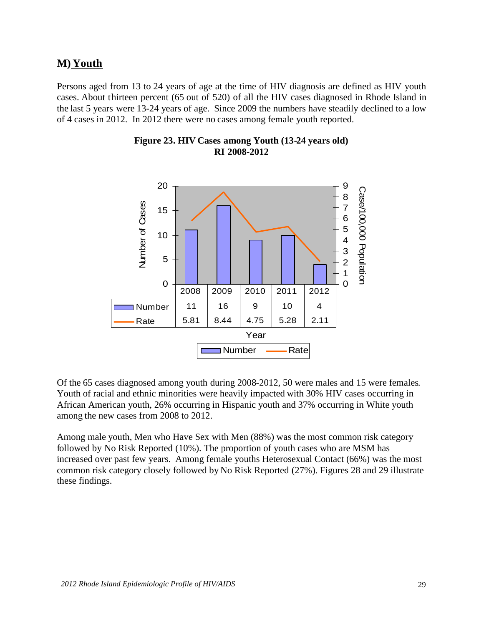# **M) Youth**

Persons aged from 13 to 24 years of age at the time of HIV diagnosis are defined as HIV youth cases. About thirteen percent (65 out of 520) of all the HIV cases diagnosed in Rhode Island in the last 5 years were 13-24 years of age. Since 2009 the numbers have steadily declined to a low of 4 cases in 2012. In 2012 there were no cases among female youth reported.



#### **Figure 23. HIV Cases among Youth (13-24 years old) RI 2008-2012**

Of the 65 cases diagnosed among youth during 2008-2012, 50 were males and 15 were females. Youth of racial and ethnic minorities were heavily impacted with 30% HIV cases occurring in African American youth, 26% occurring in Hispanic youth and 37% occurring in White youth among the new cases from 2008 to 2012.

Among male youth, Men who Have Sex with Men (88%) was the most common risk category followed by No Risk Reported (10%). The proportion of youth cases who are MSM has increased over past few years. Among female youths Heterosexual Contact (66%) was the most common risk category closely followed by No Risk Reported (27%). Figures 28 and 29 illustrate these findings.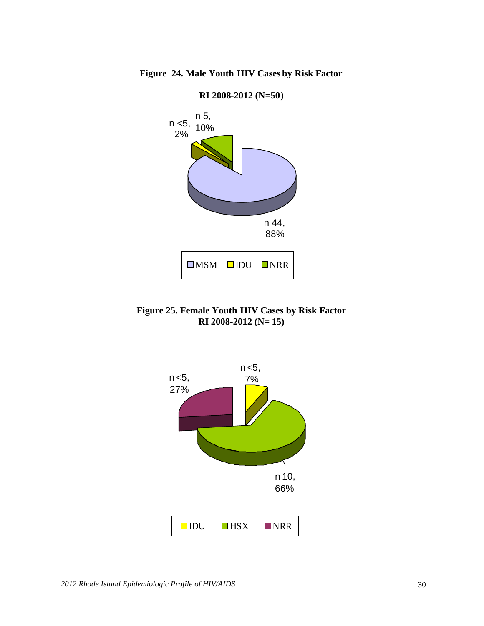

**Figure 24. Male Youth HIV Cases by Risk Factor**

**Figure 25. Female Youth HIV Cases by Risk Factor RI 2008-2012 (N= 15)**

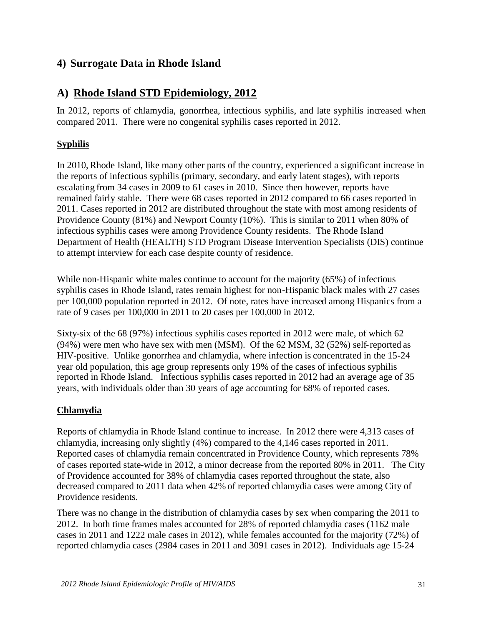# **4) Surrogate Data in Rhode Island**

# **A) Rhode Island STD Epidemiology, 2012**

In 2012, reports of chlamydia, gonorrhea, infectious syphilis, and late syphilis increased when compared 2011. There were no congenital syphilis cases reported in 2012.

### **Syphilis**

In 2010, Rhode Island, like many other parts of the country, experienced a significant increase in the reports of infectious syphilis (primary, secondary, and early latent stages), with reports escalating from 34 cases in 2009 to 61 cases in 2010. Since then however, reports have remained fairly stable. There were 68 cases reported in 2012 compared to 66 cases reported in 2011. Cases reported in 2012 are distributed throughout the state with most among residents of Providence County (81%) and Newport County (10%). This is similar to 2011 when 80% of infectious syphilis cases were among Providence County residents. The Rhode Island Department of Health (HEALTH) STD Program Disease Intervention Specialists (DIS) continue to attempt interview for each case despite county of residence.

While non-Hispanic white males continue to account for the majority (65%) of infectious syphilis cases in Rhode Island, rates remain highest for non-Hispanic black males with 27 cases per 100,000 population reported in 2012. Of note, rates have increased among Hispanics from a rate of 9 cases per 100,000 in 2011 to 20 cases per 100,000 in 2012.

Sixty-six of the 68 (97%) infectious syphilis cases reported in 2012 were male, of which 62 (94%) were men who have sex with men (MSM). Of the 62 MSM, 32 (52%) self-reported as HIV-positive. Unlike gonorrhea and chlamydia, where infection is concentrated in the 15-24 year old population, this age group represents only 19% of the cases of infectious syphilis reported in Rhode Island. Infectious syphilis cases reported in 2012 had an average age of 35 years, with individuals older than 30 years of age accounting for 68% of reported cases.

### **Chlamydia**

Reports of chlamydia in Rhode Island continue to increase. In 2012 there were 4,313 cases of chlamydia, increasing only slightly (4%) compared to the 4,146 cases reported in 2011. Reported cases of chlamydia remain concentrated in Providence County, which represents 78% of cases reported state-wide in 2012, a minor decrease from the reported 80% in 2011. The City of Providence accounted for 38% of chlamydia cases reported throughout the state, also decreased compared to 2011 data when 42% of reported chlamydia cases were among City of Providence residents.

There was no change in the distribution of chlamydia cases by sex when comparing the 2011 to 2012. In both time frames males accounted for 28% of reported chlamydia cases (1162 male cases in 2011 and 1222 male cases in 2012), while females accounted for the majority (72%) of reported chlamydia cases (2984 cases in 2011 and 3091 cases in 2012). Individuals age 15-24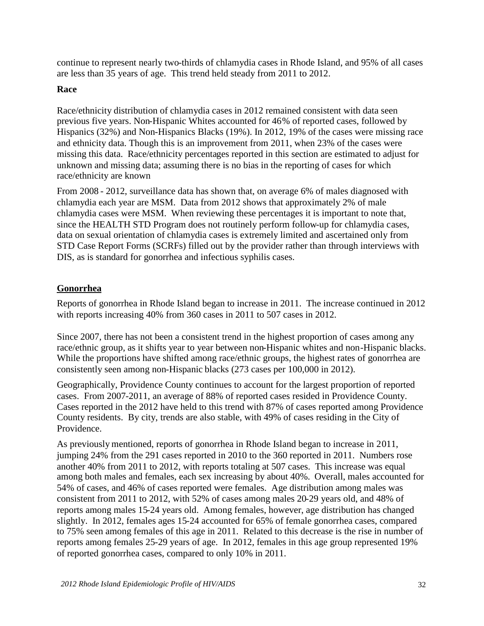continue to represent nearly two-thirds of chlamydia cases in Rhode Island, and 95% of all cases are less than 35 years of age. This trend held steady from 2011 to 2012.

#### **Race**

Race/ethnicity distribution of chlamydia cases in 2012 remained consistent with data seen previous five years. Non-Hispanic Whites accounted for 46% of reported cases, followed by Hispanics (32%) and Non-Hispanics Blacks (19%). In 2012, 19% of the cases were missing race and ethnicity data. Though this is an improvement from 2011, when 23% of the cases were missing this data. Race/ethnicity percentages reported in this section are estimated to adjust for unknown and missing data; assuming there is no bias in the reporting of cases for which race/ethnicity are known

From 2008 - 2012, surveillance data has shown that, on average 6% of males diagnosed with chlamydia each year are MSM. Data from 2012 shows that approximately 2% of male chlamydia cases were MSM. When reviewing these percentages it is important to note that, since the HEALTH STD Program does not routinely perform follow-up for chlamydia cases, data on sexual orientation of chlamydia cases is extremely limited and ascertained only from STD Case Report Forms (SCRFs) filled out by the provider rather than through interviews with DIS, as is standard for gonorrhea and infectious syphilis cases.

### **Gonorrhea**

Reports of gonorrhea in Rhode Island began to increase in 2011. The increase continued in 2012 with reports increasing 40% from 360 cases in 2011 to 507 cases in 2012.

Since 2007, there has not been a consistent trend in the highest proportion of cases among any race/ethnic group, as it shifts year to year between non-Hispanic whites and non-Hispanic blacks. While the proportions have shifted among race/ethnic groups, the highest rates of gonorrhea are consistently seen among non-Hispanic blacks (273 cases per 100,000 in 2012).

Geographically, Providence County continues to account for the largest proportion of reported cases. From 2007-2011, an average of 88% of reported cases resided in Providence County. Cases reported in the 2012 have held to this trend with 87% of cases reported among Providence County residents. By city, trends are also stable, with 49% of cases residing in the City of Providence.

As previously mentioned, reports of gonorrhea in Rhode Island began to increase in 2011, jumping 24% from the 291 cases reported in 2010 to the 360 reported in 2011. Numbers rose another 40% from 2011 to 2012, with reports totaling at 507 cases. This increase was equal among both males and females, each sex increasing by about 40%. Overall, males accounted for 54% of cases, and 46% of cases reported were females. Age distribution among males was consistent from 2011 to 2012, with 52% of cases among males 20-29 years old, and 48% of reports among males 15-24 years old. Among females, however, age distribution has changed slightly. In 2012, females ages 15-24 accounted for 65% of female gonorrhea cases, compared to 75% seen among females of this age in 2011. Related to this decrease is the rise in number of reports among females 25-29 years of age. In 2012, females in this age group represented 19% of reported gonorrhea cases, compared to only 10% in 2011.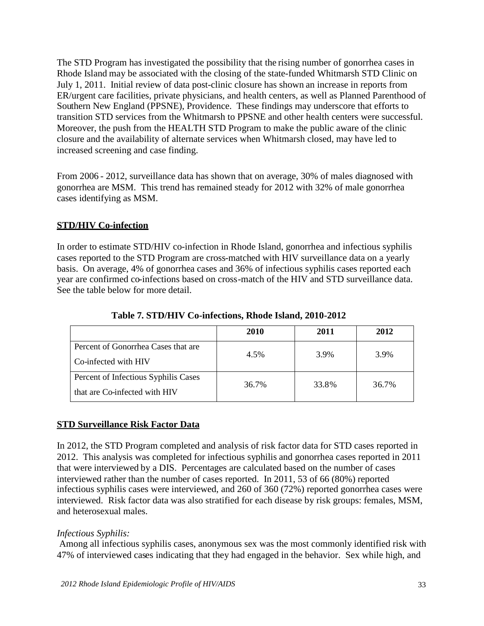The STD Program has investigated the possibility that the rising number of gonorrhea cases in Rhode Island may be associated with the closing of the state-funded Whitmarsh STD Clinic on July 1, 2011. Initial review of data post-clinic closure has shown an increase in reports from ER/urgent care facilities, private physicians, and health centers, as well as Planned Parenthood of Southern New England (PPSNE), Providence. These findings may underscore that efforts to transition STD services from the Whitmarsh to PPSNE and other health centers were successful. Moreover, the push from the HEALTH STD Program to make the public aware of the clinic closure and the availability of alternate services when Whitmarsh closed, may have led to increased screening and case finding.

From 2006 - 2012, surveillance data has shown that on average, 30% of males diagnosed with gonorrhea are MSM. This trend has remained steady for 2012 with 32% of male gonorrhea cases identifying as MSM.

### **STD/HIV Co-infection**

In order to estimate STD/HIV co-infection in Rhode Island, gonorrhea and infectious syphilis cases reported to the STD Program are cross-matched with HIV surveillance data on a yearly basis. On average, 4% of gonorrhea cases and 36% of infectious syphilis cases reported each year are confirmed co-infections based on cross-match of the HIV and STD surveillance data. See the table below for more detail.

**2010 2011 2012** Percent of Gonorrhea Cases that are Co-infected with HIV 4.5% 3.9% 3.9% Percent of Infectious Syphilis Cases that are Co-infected with HIV 36.7% 33.8% 36.7%

**Table 7. STD/HIV Co-infections, Rhode Island, 2010-2012**

### **STD Surveillance Risk Factor Data**

In 2012, the STD Program completed and analysis of risk factor data for STD cases reported in 2012. This analysis was completed for infectious syphilis and gonorrhea cases reported in 2011 that were interviewed by a DIS. Percentages are calculated based on the number of cases interviewed rather than the number of cases reported. In 2011, 53 of 66 (80%) reported infectious syphilis cases were interviewed, and 260 of 360 (72%) reported gonorrhea cases were interviewed. Risk factor data was also stratified for each disease by risk groups: females, MSM, and heterosexual males.

### *Infectious Syphilis:*

Among all infectious syphilis cases, anonymous sex was the most commonly identified risk with 47% of interviewed cases indicating that they had engaged in the behavior. Sex while high, and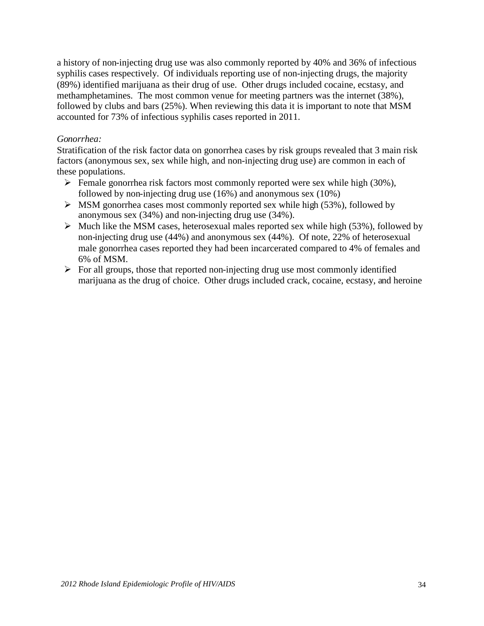a history of non-injecting drug use was also commonly reported by 40% and 36% of infectious syphilis cases respectively. Of individuals reporting use of non-injecting drugs, the majority (89%) identified marijuana as their drug of use. Other drugs included cocaine, ecstasy, and methamphetamines. The most common venue for meeting partners was the internet (38%), followed by clubs and bars (25%). When reviewing this data it is important to note that MSM accounted for 73% of infectious syphilis cases reported in 2011.

#### *Gonorrhea:*

Stratification of the risk factor data on gonorrhea cases by risk groups revealed that 3 main risk factors (anonymous sex, sex while high, and non-injecting drug use) are common in each of these populations.

- $\triangleright$  Female gonorrhea risk factors most commonly reported were sex while high (30%), followed by non-injecting drug use (16%) and anonymous sex (10%)
- $\triangleright$  MSM gonorrhea cases most commonly reported sex while high (53%), followed by anonymous sex (34%) and non-injecting drug use (34%).
- $\triangleright$  Much like the MSM cases, heterosexual males reported sex while high (53%), followed by non-injecting drug use (44%) and anonymous sex (44%). Of note, 22% of heterosexual male gonorrhea cases reported they had been incarcerated compared to 4% of females and 6% of MSM.
- $\triangleright$  For all groups, those that reported non-injecting drug use most commonly identified marijuana as the drug of choice. Other drugs included crack, cocaine, ecstasy, and heroine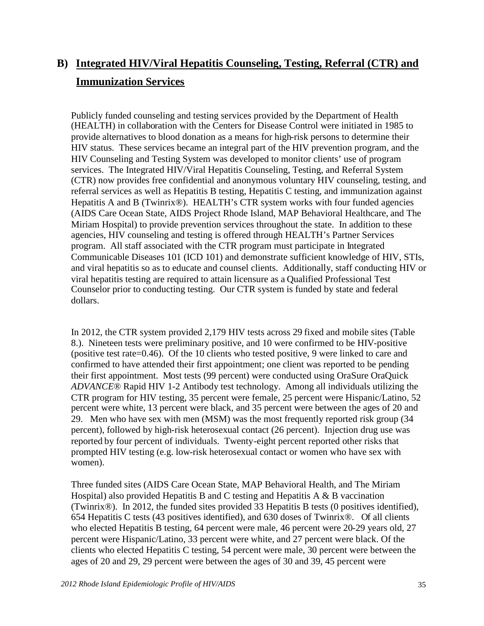# **B) Integrated HIV/Viral Hepatitis Counseling, Testing, Referral (CTR) and Immunization Services**

Publicly funded counseling and testing services provided by the Department of Health (HEALTH) in collaboration with the Centers for Disease Control were initiated in 1985 to provide alternatives to blood donation as a means for high-risk persons to determine their HIV status. These services became an integral part of the HIV prevention program, and the HIV Counseling and Testing System was developed to monitor clients' use of program services. The Integrated HIV/Viral Hepatitis Counseling, Testing, and Referral System (CTR) now provides free confidential and anonymous voluntary HIV counseling, testing, and referral services as well as Hepatitis B testing, Hepatitis C testing, and immunization against Hepatitis A and B (Twinrix<sup>®</sup>). HEALTH's CTR system works with four funded agencies (AIDS Care Ocean State, AIDS Project Rhode Island, MAP Behavioral Healthcare, and The Miriam Hospital) to provide prevention services throughout the state. In addition to these agencies, HIV counseling and testing is offered through HEALTH's Partner Services program. All staff associated with the CTR program must participate in Integrated Communicable Diseases 101 (ICD 101) and demonstrate sufficient knowledge of HIV, STIs, and viral hepatitis so as to educate and counsel clients. Additionally, staff conducting HIV or viral hepatitis testing are required to attain licensure as a Qualified Professional Test Counselor prior to conducting testing. Our CTR system is funded by state and federal dollars.

In 2012, the CTR system provided 2,179 HIV tests across 29 fixed and mobile sites (Table 8.). Nineteen tests were preliminary positive, and 10 were confirmed to be HIV-positive (positive test rate=0.46). Of the 10 clients who tested positive, 9 were linked to care and confirmed to have attended their first appointment; one client was reported to be pending their first appointment. Most tests (99 percent) were conducted using OraSure OraQuick *ADVANCE*® Rapid HIV 1-2 Antibody test technology. Among all individuals utilizing the CTR program for HIV testing, 35 percent were female, 25 percent were Hispanic/Latino, 52 percent were white, 13 percent were black, and 35 percent were between the ages of 20 and 29. Men who have sex with men (MSM) was the most frequently reported risk group (34 percent), followed by high-risk heterosexual contact (26 percent). Injection drug use was reported by four percent of individuals. Twenty-eight percent reported other risks that prompted HIV testing (e.g. low-risk heterosexual contact or women who have sex with women).

Three funded sites (AIDS Care Ocean State, MAP Behavioral Health, and The Miriam Hospital) also provided Hepatitis B and C testing and Hepatitis A  $\&$  B vaccination (Twinrix®). In 2012, the funded sites provided 33 Hepatitis B tests (0 positives identified), 654 Hepatitis C tests (43 positives identified), and 630 doses of Twinrix®. Of all clients who elected Hepatitis B testing, 64 percent were male, 46 percent were 20-29 years old, 27 percent were Hispanic/Latino, 33 percent were white, and 27 percent were black. Of the clients who elected Hepatitis C testing, 54 percent were male, 30 percent were between the ages of 20 and 29, 29 percent were between the ages of 30 and 39, 45 percent were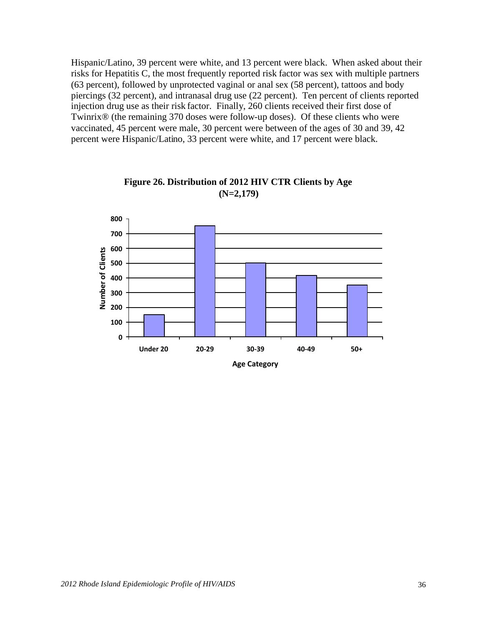Hispanic/Latino, 39 percent were white, and 13 percent were black. When asked about their risks for Hepatitis C, the most frequently reported risk factor was sex with multiple partners (63 percent), followed by unprotected vaginal or anal sex (58 percent), tattoos and body piercings (32 percent), and intranasal drug use (22 percent). Ten percent of clients reported injection drug use as their risk factor. Finally, 260 clients received their first dose of Twinrix® (the remaining 370 doses were follow-up doses). Of these clients who were vaccinated, 45 percent were male, 30 percent were between of the ages of 30 and 39, 42 percent were Hispanic/Latino, 33 percent were white, and 17 percent were black.



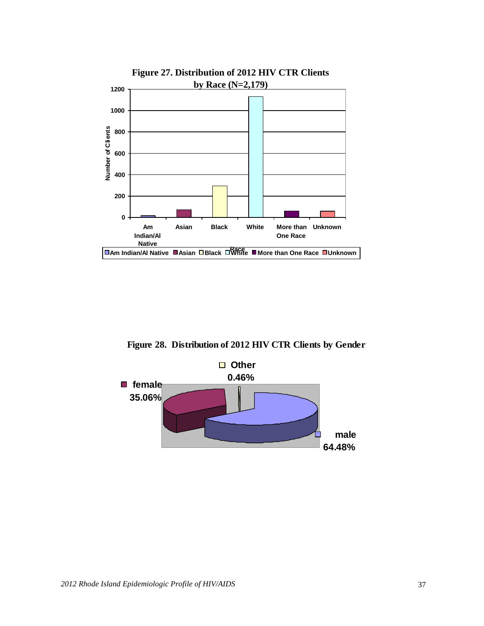

**Figure 27. Distribution of 2012 HIV CTR Clients**

**Figure 28. Distribution of 2012 HIV CTR Clients by Gender**

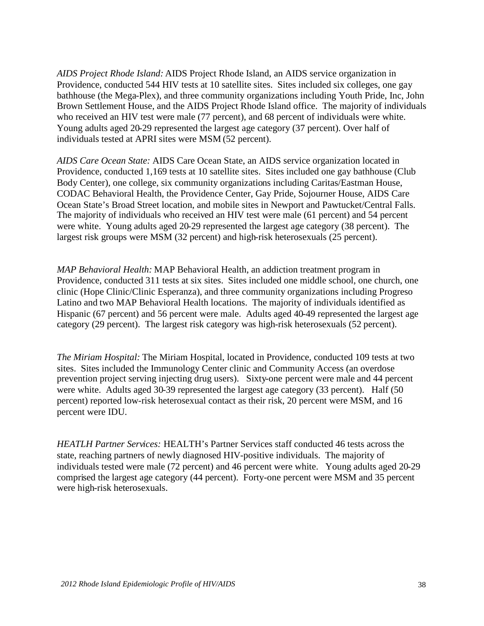*AIDS Project Rhode Island:* AIDS Project Rhode Island, an AIDS service organization in Providence, conducted 544 HIV tests at 10 satellite sites. Sites included six colleges, one gay bathhouse (the Mega-Plex), and three community organizations including Youth Pride, Inc, John Brown Settlement House, and the AIDS Project Rhode Island office. The majority of individuals who received an HIV test were male (77 percent), and 68 percent of individuals were white. Young adults aged 20-29 represented the largest age category (37 percent). Over half of individuals tested at APRI sites were MSM (52 percent).

*AIDS Care Ocean State:* AIDS Care Ocean State, an AIDS service organization located in Providence, conducted 1,169 tests at 10 satellite sites. Sites included one gay bathhouse (Club Body Center), one college, six community organizations including Caritas/Eastman House, CODAC Behavioral Health, the Providence Center, Gay Pride, Sojourner House, AIDS Care Ocean State's Broad Street location, and mobile sites in Newport and Pawtucket/Central Falls. The majority of individuals who received an HIV test were male (61 percent) and 54 percent were white. Young adults aged 20-29 represented the largest age category (38 percent). The largest risk groups were MSM (32 percent) and high-risk heterosexuals (25 percent).

*MAP Behavioral Health:* MAP Behavioral Health, an addiction treatment program in Providence, conducted 311 tests at six sites. Sites included one middle school, one church, one clinic (Hope Clinic/Clinic Esperanza), and three community organizations including Progreso Latino and two MAP Behavioral Health locations. The majority of individuals identified as Hispanic (67 percent) and 56 percent were male. Adults aged 40-49 represented the largest age category (29 percent). The largest risk category was high-risk heterosexuals (52 percent).

*The Miriam Hospital:* The Miriam Hospital, located in Providence, conducted 109 tests at two sites. Sites included the Immunology Center clinic and Community Access (an overdose prevention project serving injecting drug users). Sixty-one percent were male and 44 percent were white. Adults aged 30-39 represented the largest age category (33 percent). Half (50 percent) reported low-risk heterosexual contact as their risk, 20 percent were MSM, and 16 percent were IDU.

*HEATLH Partner Services:* HEALTH's Partner Services staff conducted 46 tests across the state, reaching partners of newly diagnosed HIV-positive individuals. The majority of individuals tested were male (72 percent) and 46 percent were white. Young adults aged 20-29 comprised the largest age category (44 percent). Forty-one percent were MSM and 35 percent were high-risk heterosexuals.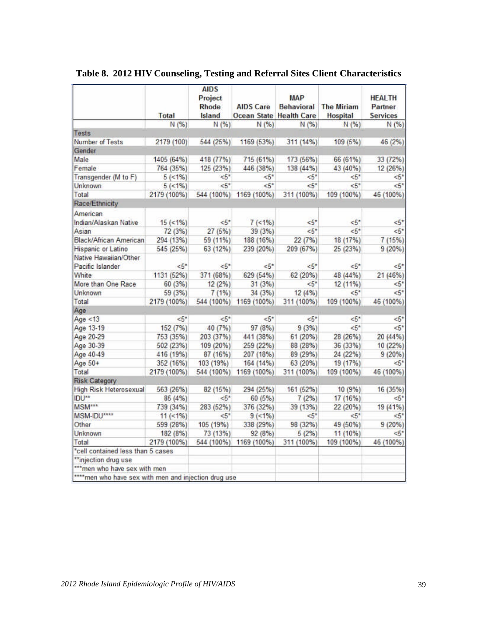|                                                       | Total          | <b>AIDS</b><br>Project<br>Rhode<br>Island | <b>AIDS Care</b><br>Ocean State Health Care | <b>MAP</b> | <b>Behavioral</b> The Miriam<br><b>Hospital</b> | <b>HEALTH</b><br>Partner<br><b>Services</b> |
|-------------------------------------------------------|----------------|-------------------------------------------|---------------------------------------------|------------|-------------------------------------------------|---------------------------------------------|
|                                                       | N(%)           | N (%)                                     | N(96)                                       | N (%)      | N(%)                                            | N(%)                                        |
| Tests                                                 |                |                                           |                                             |            |                                                 |                                             |
| Number of Tests                                       | 2179 (100)     | 544 (25%)                                 | 1169 (53%)                                  | 311 (14%)  | 109 (5%)                                        | 46 (2%)                                     |
| Gender                                                |                |                                           |                                             |            |                                                 |                                             |
| Male                                                  | 1405 (64%)     | 418 (77%)                                 | 715 (61%)                                   | 173 (56%)  | 66 (61%)                                        | 33 (72%)                                    |
| Female                                                | 764 (35%)      | 125 (23%)                                 | 446 (38%)                                   | 138 (44%)  | 43 (40%)                                        | 12 (26%)                                    |
| Transgender (M to F)                                  | $5(<1%$ )      | <5"                                       | $\leq 5$ *                                  | $\leq 5$ * | <5"                                             | <5"                                         |
| Unknown                                               | $5( < 1\%)$    | $5^*$                                     | $< 5^*$                                     | $< 5$ *    | $< 5^*$                                         | $5^*$                                       |
| Total                                                 | 2179 (100%)    | 544 (100%)                                | 1169 (100%)                                 | 311 (100%) | 109 (100%)                                      | 46 (100%)                                   |
| Race/Ethnicity                                        |                |                                           |                                             |            |                                                 |                                             |
| American                                              |                |                                           |                                             |            |                                                 |                                             |
| Indian/Alaskan Native                                 | $15$ (<1%)     | $\leq 5^*$                                | $7$ (<1%)                                   | $5^*$      | $5^*$                                           | $<5*$                                       |
| Asian                                                 | 72(3%)         | 27(5%)                                    | 39 (3%)                                     | $5^*$      | $5*$                                            | $5^*$                                       |
| Black/African American                                | 294 (13%)      | 59 (11%)                                  | 188 (16%)                                   | 22 (7%)    | 18 (17%)                                        | 7 (15%)                                     |
| Hispanic or Latino                                    | 545 (25%)      | 63 (12%)                                  | 239 (20%)                                   | 209 (67%)  | 25 (23%)                                        | 9(20%)                                      |
| Native Hawaiian/Other                                 |                |                                           |                                             |            |                                                 |                                             |
| Pacific Islander                                      | 5 <sup>2</sup> | $5^*$                                     | $< 5^{\circ}$                               | $< 5$ *    | <5"                                             | $5*$                                        |
| White                                                 | 1131 (52%)     | 371 (68%)                                 | 629 (54%)                                   | 62 (20%)   | 48 (44%)                                        | 21 (46%)                                    |
| More than One Race                                    | 60 (3%)        | 12(2%)                                    | 31(3%)                                      | $5^*$      | 12 (11%)                                        | $5^*$                                       |
| Unknown                                               | 59 (3%)        | 7(1%)                                     | 34 (3%)                                     | 12 (4%)    | $5^*$                                           | 5"                                          |
| Total                                                 | 2179 (100%)    | 544 (100%)                                | 1169 (100%)                                 | 311 (100%) | 109 (100%)                                      | 46 (100%)                                   |
| Age                                                   |                |                                           |                                             |            |                                                 |                                             |
| Age < $13$                                            | $5*$           | $5*$                                      | $5^*$                                       | $5^*$      | $5^*$                                           | $5^*$                                       |
| Age 13-19                                             | 152 (7%)       | 40 (7%)                                   | 97 (8%)                                     | 9(3%)      | $5*$                                            | $5*$                                        |
| Age 20-29                                             | 753 (35%)      | 203 (37%)                                 | 441 (38%)                                   | 61(20%)    | 28 (26%)                                        | 20 (44%)                                    |
| Age 30-39                                             | 502 (23%)      | 109 (20%)                                 | 259 (22%)                                   | 88 (28%)   | 36 (33%)                                        | 10 (22%)                                    |
| Age 40-49                                             | 416 (19%)      | 87 (16%)                                  | 207 (18%)                                   | 89 (29%)   | 24 (22%)                                        | 9(20%)                                      |
| Age 50+                                               | 352 (16%)      | 103(19%)                                  | 164 (14%)                                   | 63 (20%)   | 19 (17%)                                        | $5^*$                                       |
| Total                                                 | 2179 (100%)    |                                           | 544 (100%) 1169 (100%)                      | 311 (100%) | 109 (100%)                                      | 46 (100%)                                   |
| <b>Risk Category</b>                                  |                |                                           |                                             |            |                                                 |                                             |
| High Risk Heterosexual                                | 563 (26%)      | 82 (15%)                                  | 294 (25%)                                   | 161 (52%)  | 10(9%)                                          | 16 (35%)                                    |
| IDU <sup>**</sup>                                     | 85 (4%)        | $5^*$                                     | 60 (5%)                                     | 7(2%)      | 17 (16%)                                        | $\leq 5"$                                   |
| <b>MSM***</b>                                         | 739 (34%)      | 283 (52%)                                 | 376 (32%)                                   | 39 (13%)   | 22 (20%)                                        | 19 (41%)                                    |
| MSM-IDU****                                           | $11 (31\%)$    | $5^*$                                     | $9$ (<1%)                                   | <5*        | $5^*$                                           | $5^*$                                       |
| Other                                                 | 599 (28%)      | 105 (19%)                                 | 338 (29%)                                   | 98 (32%)   | 49 (50%)                                        | 9(20%)                                      |
| Unknown                                               | 182 (8%)       | 73 (13%)                                  | 92 (8%)                                     | 5(2%)      | 11 (10%)                                        | 5"                                          |
| Total                                                 | 2179 (100%)    | 544 (100%)                                | 1169 (100%)                                 | 311 (100%) | 109 (100%)                                      | 46 (100%)                                   |
| *cell contained less than 5 cases                     |                |                                           |                                             |            |                                                 |                                             |
| ** injection drug use                                 |                |                                           |                                             |            |                                                 |                                             |
| *** men who have sex with men                         |                |                                           |                                             |            |                                                 |                                             |
| **** men who have sex with men and injection drug use |                |                                           |                                             |            |                                                 |                                             |

**Table 8. 2012 HIV Counseling, Testing and Referral Sites Client Characteristics**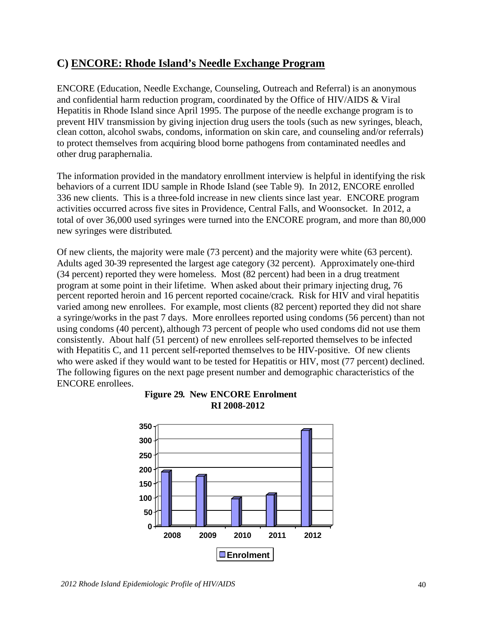# **C) ENCORE: Rhode Island's Needle Exchange Program**

ENCORE (Education, Needle Exchange, Counseling, Outreach and Referral) is an anonymous and confidential harm reduction program, coordinated by the Office of HIV/AIDS & Viral Hepatitis in Rhode Island since April 1995. The purpose of the needle exchange program is to prevent HIV transmission by giving injection drug users the tools (such as new syringes, bleach, clean cotton, alcohol swabs, condoms, information on skin care, and counseling and/or referrals) to protect themselves from acquiring blood borne pathogens from contaminated needles and other drug paraphernalia.

The information provided in the mandatory enrollment interview is helpful in identifying the risk behaviors of a current IDU sample in Rhode Island (see Table 9). In 2012, ENCORE enrolled 336 new clients. This is a three-fold increase in new clients since last year. ENCORE program activities occurred across five sites in Providence, Central Falls, and Woonsocket. In 2012, a total of over 36,000 used syringes were turned into the ENCORE program, and more than 80,000 new syringes were distributed.

Of new clients, the majority were male (73 percent) and the majority were white (63 percent). Adults aged 30-39 represented the largest age category (32 percent). Approximately one-third (34 percent) reported they were homeless. Most (82 percent) had been in a drug treatment program at some point in their lifetime. When asked about their primary injecting drug, 76 percent reported heroin and 16 percent reported cocaine/crack. Risk for HIV and viral hepatitis varied among new enrollees. For example, most clients (82 percent) reported they did not share a syringe/works in the past 7 days. More enrollees reported using condoms (56 percent) than not using condoms (40 percent), although 73 percent of people who used condoms did not use them consistently. About half (51 percent) of new enrollees self-reported themselves to be infected with Hepatitis C, and 11 percent self-reported themselves to be HIV-positive. Of new clients who were asked if they would want to be tested for Hepatitis or HIV, most (77 percent) declined. The following figures on the next page present number and demographic characteristics of the ENCORE enrollees.



**Figure 29. New ENCORE Enrolment RI 2008-2012**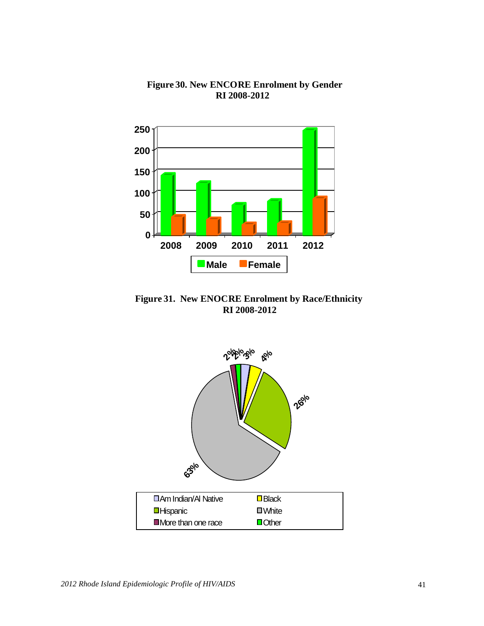

**Figure 30. New ENCORE Enrolment by Gender RI 2008-2012**

**Figure 31. New ENOCRE Enrolment by Race/Ethnicity RI 2008-2012**

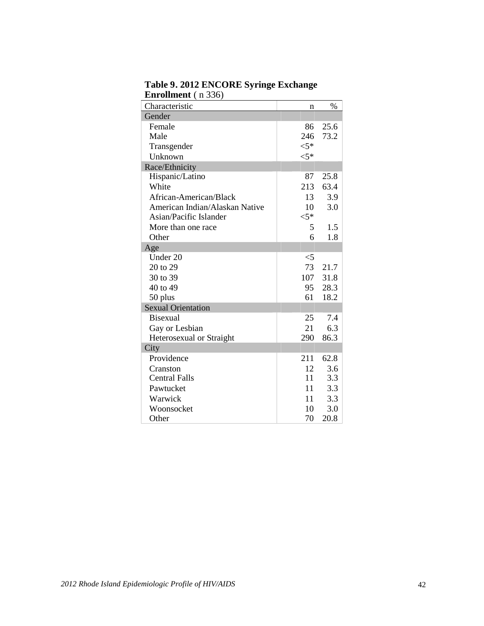| Characteristic                 | n      | $\%$ |
|--------------------------------|--------|------|
| Gender                         |        |      |
| Female                         | 86     | 25.6 |
| Male                           | 246    | 73.2 |
| Transgender                    | $< 5*$ |      |
| Unknown                        | $< 5*$ |      |
| Race/Ethnicity                 |        |      |
| Hispanic/Latino                | 87     | 25.8 |
| White                          | 213    | 63.4 |
| African-American/Black         | 13     | 3.9  |
| American Indian/Alaskan Native | 10     | 3.0  |
| Asian/Pacific Islander         | $<$ 5* |      |
| More than one race             | 5      | 1.5  |
| Other                          | 6      | 1.8  |
| Age                            |        |      |
| Under 20                       | $<$ 5  |      |
| 20 to 29                       | 73     | 21.7 |
| 30 to 39                       | 107    | 31.8 |
| 40 to 49                       | 95     | 28.3 |
| 50 plus                        | 61     | 18.2 |
| <b>Sexual Orientation</b>      |        |      |
| <b>Bisexual</b>                | 25     | 7.4  |
| Gay or Lesbian                 | 21     | 6.3  |
| Heterosexual or Straight       | 290    | 86.3 |
| City                           |        |      |
| Providence                     | 211    | 62.8 |
| Cranston                       | 12     | 3.6  |
| <b>Central Falls</b>           | 11     | 3.3  |
| Pawtucket                      | 11     | 3.3  |
| Warwick                        | 11     | 3.3  |
| Woonsocket                     | 10     | 3.0  |
| Other                          | 70     | 20.8 |

**Table 9. 2012 ENCORE Syringe Exchange Enrollment** ( n 336)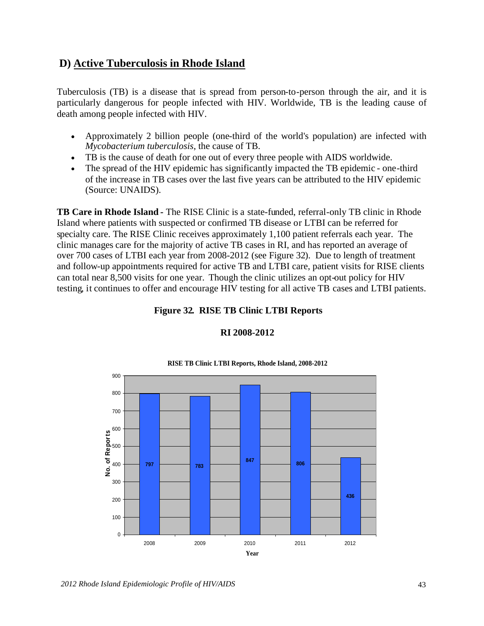# **D) Active Tuberculosis in Rhode Island**

Tuberculosis (TB) is a disease that is spread from person-to-person through the air, and it is particularly dangerous for people infected with HIV. Worldwide, TB is the leading cause of death among people infected with HIV.

- Approximately 2 billion people (one-third of the world's population) are infected with *Mycobacterium tuberculosis*, the cause of TB.
- TB is the cause of death for one out of every three people with AIDS worldwide.
- The spread of the HIV epidemic has significantly impacted the TB epidemic one-third of the increase in TB cases over the last five years can be attributed to the HIV epidemic (Source: UNAIDS).

**TB Care in Rhode Island** *-* The RISE Clinic is a state-funded, referral-only TB clinic in Rhode Island where patients with suspected or confirmed TB disease or LTBI can be referred for specialty care. The RISE Clinic receives approximately 1,100 patient referrals each year. The clinic manages care for the majority of active TB cases in RI, and has reported an average of over 700 cases of LTBI each year from 2008-2012 (see Figure 32). Due to length of treatment and follow-up appointments required for active TB and LTBI care, patient visits for RISE clients can total near 8,500 visits for one year. Though the clinic utilizes an opt-out policy for HIV testing, it continues to offer and encourage HIV testing for all active TB cases and LTBI patients.

**Figure 32. RISE TB Clinic LTBI Reports**



### **RI 2008-2012**

#### *2012 Rhode Island Epidemiologic Profile of HIV/AIDS* 43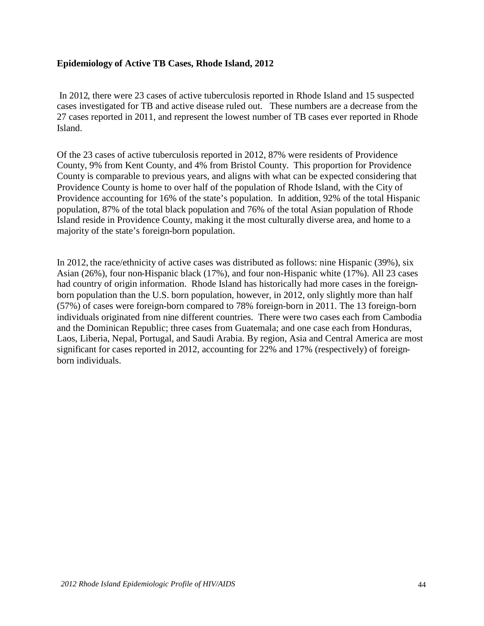#### **Epidemiology of Active TB Cases, Rhode Island, 2012**

In 2012, there were 23 cases of active tuberculosis reported in Rhode Island and 15 suspected cases investigated for TB and active disease ruled out. These numbers are a decrease from the 27 cases reported in 2011, and represent the lowest number of TB cases ever reported in Rhode Island.

Of the 23 cases of active tuberculosis reported in 2012, 87% were residents of Providence County, 9% from Kent County, and 4% from Bristol County. This proportion for Providence County is comparable to previous years, and aligns with what can be expected considering that Providence County is home to over half of the population of Rhode Island, with the City of Providence accounting for 16% of the state's population. In addition, 92% of the total Hispanic population, 87% of the total black population and 76% of the total Asian population of Rhode Island reside in Providence County, making it the most culturally diverse area, and home to a majority of the state's foreign-born population.

In 2012, the race/ethnicity of active cases was distributed as follows: nine Hispanic (39%), six Asian (26%), four non-Hispanic black (17%), and four non-Hispanic white (17%). All 23 cases had country of origin information. Rhode Island has historically had more cases in the foreignborn population than the U.S. born population, however, in 2012, only slightly more than half (57%) of cases were foreign-born compared to 78% foreign-born in 2011. The 13 foreign-born individuals originated from nine different countries. There were two cases each from Cambodia and the Dominican Republic; three cases from Guatemala; and one case each from Honduras, Laos, Liberia, Nepal, Portugal, and Saudi Arabia. By region, Asia and Central America are most significant for cases reported in 2012, accounting for 22% and 17% (respectively) of foreignborn individuals.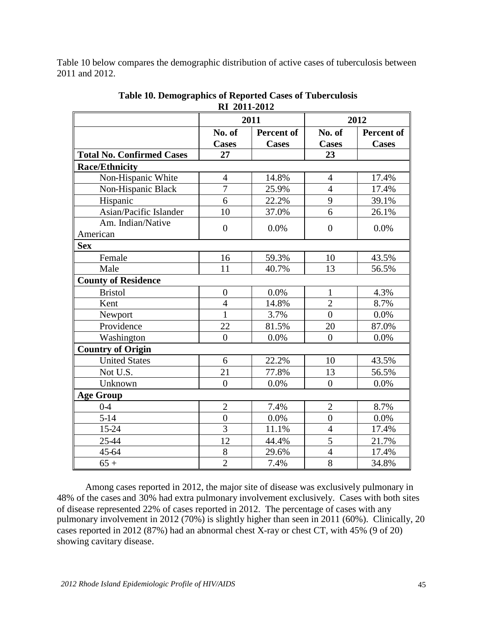Table 10 below compares the demographic distribution of active cases of tuberculosis between 2011 and 2012.

|                                  | IXI <i>2</i> 011-2012 |                   |                  |                   |  |
|----------------------------------|-----------------------|-------------------|------------------|-------------------|--|
|                                  |                       | 2011              | 2012             |                   |  |
|                                  | No. of                | <b>Percent of</b> | No. of           | <b>Percent of</b> |  |
|                                  | <b>Cases</b>          | <b>Cases</b>      | <b>Cases</b>     | <b>Cases</b>      |  |
| <b>Total No. Confirmed Cases</b> | 27                    |                   | 23               |                   |  |
| <b>Race/Ethnicity</b>            |                       |                   |                  |                   |  |
| Non-Hispanic White               | $\overline{4}$        | 14.8%             | $\overline{4}$   | 17.4%             |  |
| Non-Hispanic Black               | $\overline{7}$        | 25.9%             | $\overline{4}$   | 17.4%             |  |
| Hispanic                         | 6                     | 22.2%             | 9                | 39.1%             |  |
| Asian/Pacific Islander           | 10                    | 37.0%             | 6                | 26.1%             |  |
| Am. Indian/Native                | $\overline{0}$        | 0.0%              | $\overline{0}$   | 0.0%              |  |
| American                         |                       |                   |                  |                   |  |
| <b>Sex</b>                       |                       |                   |                  |                   |  |
| Female                           | 16                    | 59.3%             | 10               | 43.5%             |  |
| Male                             | 11                    | 40.7%             | 13               | 56.5%             |  |
| <b>County of Residence</b>       |                       |                   |                  |                   |  |
| <b>Bristol</b>                   | $\boldsymbol{0}$      | 0.0%              | $\mathbf{1}$     | 4.3%              |  |
| Kent                             | $\overline{4}$        | 14.8%             | $\overline{2}$   | 8.7%              |  |
| Newport                          | $\mathbf{1}$          | 3.7%              | $\overline{0}$   | 0.0%              |  |
| Providence                       | 22                    | 81.5%             | 20               | 87.0%             |  |
| Washington                       | $\theta$              | 0.0%              | $\theta$         | 0.0%              |  |
| <b>Country of Origin</b>         |                       |                   |                  |                   |  |
| <b>United States</b>             | 6                     | 22.2%             | 10               | 43.5%             |  |
| Not U.S.                         | 21                    | 77.8%             | 13               | 56.5%             |  |
| Unknown                          | $\overline{0}$        | 0.0%              | $\boldsymbol{0}$ | $0.0\%$           |  |
| <b>Age Group</b>                 |                       |                   |                  |                   |  |
| $0-4$                            | $\overline{c}$        | 7.4%              | $\mathbf{2}$     | 8.7%              |  |
| $5 - 14$                         | $\overline{0}$        | 0.0%              | $\overline{0}$   | 0.0%              |  |
| 15-24                            | 3                     | 11.1%             | $\overline{4}$   | 17.4%             |  |
| 25-44                            | 12                    | 44.4%             | 5                | 21.7%             |  |
| 45-64                            | 8                     | 29.6%             | $\overline{4}$   | 17.4%             |  |
| $65+$                            | $\overline{2}$        | 7.4%              | $\overline{8}$   | 34.8%             |  |

**Table 10. Demographics of Reported Cases of Tuberculosis RI 2011-2012**

Among cases reported in 2012, the major site of disease was exclusively pulmonary in 48% of the cases and 30% had extra pulmonary involvement exclusively. Cases with both sites of disease represented 22% of cases reported in 2012. The percentage of cases with any pulmonary involvement in 2012 (70%) is slightly higher than seen in 2011 (60%). Clinically, 20 cases reported in 2012 (87%) had an abnormal chest X-ray or chest CT, with 45% (9 of 20) showing cavitary disease.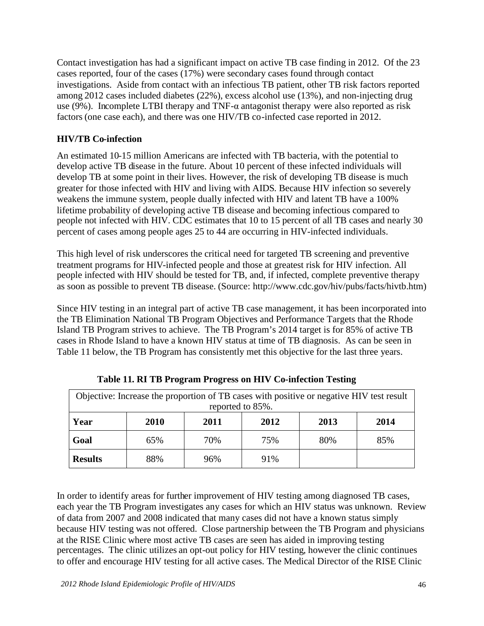Contact investigation has had a significant impact on active TB case finding in 2012. Of the 23 cases reported, four of the cases (17%) were secondary cases found through contact investigations. Aside from contact with an infectious TB patient, other TB risk factors reported among 2012 cases included diabetes (22%), excess alcohol use (13%), and non-injecting drug use (9%). Incomplete LTBI therapy and TNF- $\alpha$  antagonist therapy were also reported as risk factors (one case each), and there was one HIV/TB co-infected case reported in 2012.

### **HIV/TB Co-infection**

An estimated 10-15 million Americans are infected with TB bacteria, with the potential to develop active TB disease in the future. About 10 percent of these infected individuals will develop TB at some point in their lives. However, the risk of developing TB disease is much greater for those infected with HIV and living with AIDS. Because HIV infection so severely weakens the immune system, people dually infected with HIV and latent TB have a 100% lifetime probability of developing active TB disease and becoming infectious compared to people not infected with HIV. CDC estimates that 10 to 15 percent of all TB cases and nearly 30 percent of cases among people ages 25 to 44 are occurring in HIV-infected individuals.

This high level of risk underscores the critical need for targeted TB screening and preventive treatment programs for HIV-infected people and those at greatest risk for HIV infection. All people infected with HIV should be tested for TB, and, if infected, complete preventive therapy as soon as possible to prevent TB disease. (Source: http://www.cdc.gov/hiv/pubs/facts/hivtb.htm)

Since HIV testing in an integral part of active TB case management, it has been incorporated into the TB Elimination National TB Program Objectives and Performance Targets that the Rhode Island TB Program strives to achieve. The TB Program's 2014 target is for 85% of active TB cases in Rhode Island to have a known HIV status at time of TB diagnosis. As can be seen in Table 11 below, the TB Program has consistently met this objective for the last three years.

| Objective: Increase the proportion of TB cases with positive or negative HIV test result<br>reported to 85%. |      |      |     |     |     |  |  |  |  |
|--------------------------------------------------------------------------------------------------------------|------|------|-----|-----|-----|--|--|--|--|
| Year                                                                                                         | 2013 | 2014 |     |     |     |  |  |  |  |
| Goal                                                                                                         | 65%  | 70%  | 75% | 80% | 85% |  |  |  |  |
| <b>Results</b>                                                                                               | 88%  | 96%  | 91% |     |     |  |  |  |  |

**Table 11. RI TB Program Progress on HIV Co-infection Testing**

In order to identify areas for further improvement of HIV testing among diagnosed TB cases, each year the TB Program investigates any cases for which an HIV status was unknown. Review of data from 2007 and 2008 indicated that many cases did not have a known status simply because HIV testing was not offered. Close partnership between the TB Program and physicians at the RISE Clinic where most active TB cases are seen has aided in improving testing percentages. The clinic utilizes an opt-out policy for HIV testing, however the clinic continues to offer and encourage HIV testing for all active cases. The Medical Director of the RISE Clinic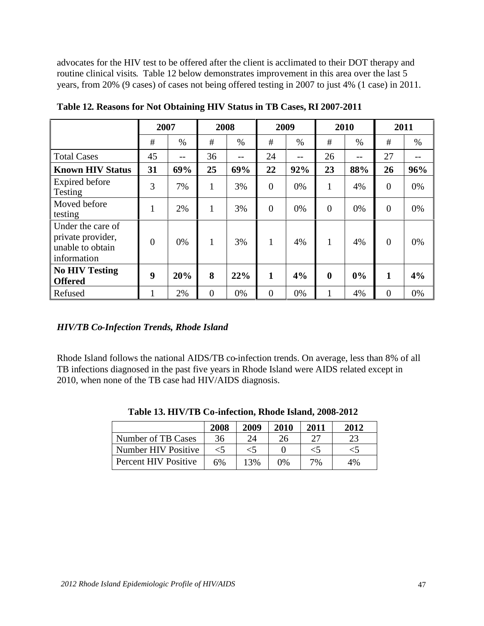advocates for the HIV test to be offered after the client is acclimated to their DOT therapy and routine clinical visits. Table 12 below demonstrates improvement in this area over the last 5 years, from 20% (9 cases) of cases not being offered testing in 2007 to just 4% (1 case) in 2011.

|                                                                           |                | 2007 |                | 2008 |                | 2009 |                  | 2010 |                | 2011 |  |
|---------------------------------------------------------------------------|----------------|------|----------------|------|----------------|------|------------------|------|----------------|------|--|
|                                                                           | #              | $\%$ | #              | $\%$ | #              | $\%$ | #                | $\%$ | #              | $\%$ |  |
| <b>Total Cases</b>                                                        | 45             | --   | 36             | --   | 24             | $-$  | 26               | $-$  | 27             |      |  |
| <b>Known HIV Status</b>                                                   | 31             | 69%  | 25             | 69%  | 22             | 92%  | 23               | 88%  | 26             | 96%  |  |
| <b>Expired before</b><br>Testing                                          | 3              | 7%   | $\mathbf{1}$   | 3%   | $\overline{0}$ | 0%   | 1                | 4%   | $\overline{0}$ | 0%   |  |
| Moved before<br>testing                                                   | 1              | 2%   | $\mathbf{1}$   | 3%   | $\overline{0}$ | 0%   | $\overline{0}$   | 0%   | $\overline{0}$ | 0%   |  |
| Under the care of<br>private provider,<br>unable to obtain<br>information | $\overline{0}$ | 0%   | 1              | 3%   |                | 4%   | $\mathbf{1}$     | 4%   | $\overline{0}$ | 0%   |  |
| <b>No HIV Testing</b><br><b>Offered</b>                                   | 9              | 20%  | 8              | 22%  | 1              | 4%   | $\boldsymbol{0}$ | 0%   | $\mathbf{1}$   | 4%   |  |
| Refused                                                                   |                | 2%   | $\overline{0}$ | 0%   | $\overline{0}$ | 0%   |                  | 4%   | $\theta$       | 0%   |  |

**Table 12. Reasons for Not Obtaining HIV Status in TB Cases, RI 2007-2011**

### *HIV/TB Co-Infection Trends, Rhode Island*

Rhode Island follows the national AIDS/TB co-infection trends. On average, less than 8% of all TB infections diagnosed in the past five years in Rhode Island were AIDS related except in 2010, when none of the TB case had HIV/AIDS diagnosis.

|                      | 2008  | 2009  | 2010  | 2011  | 2012 |
|----------------------|-------|-------|-------|-------|------|
| Number of TB Cases   | 36    | 24    | 26    |       | 23   |
| Number HIV Positive  | $<$ 5 | $<$ 5 |       | $<$ 5 | ລ    |
| Percent HIV Positive | 6%    | 13%   | $0\%$ | 7%    | 4%   |

**Table 13. HIV/TB Co-infection, Rhode Island, 2008-2012**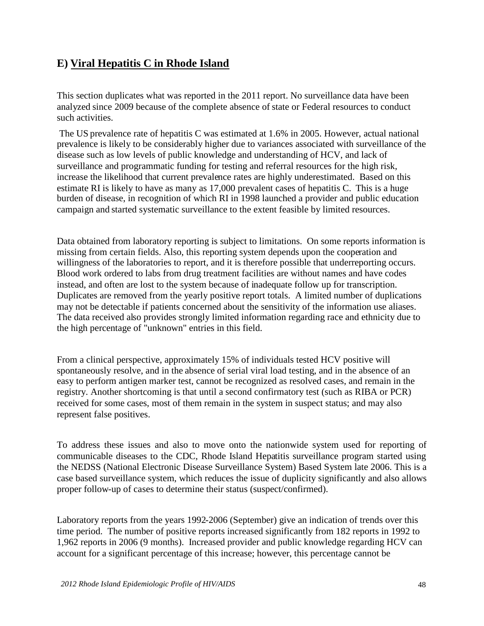# **E) Viral Hepatitis C in Rhode Island**

This section duplicates what was reported in the 2011 report. No surveillance data have been analyzed since 2009 because of the complete absence of state or Federal resources to conduct such activities.

The US prevalence rate of hepatitis C was estimated at 1.6% in 2005. However, actual national prevalence is likely to be considerably higher due to variances associated with surveillance of the disease such as low levels of public knowledge and understanding of HCV, and lack of surveillance and programmatic funding for testing and referral resources for the high risk, increase the likelihood that current prevalence rates are highly underestimated. Based on this estimate RI is likely to have as many as 17,000 prevalent cases of hepatitis C. This is a huge burden of disease, in recognition of which RI in 1998 launched a provider and public education campaign and started systematic surveillance to the extent feasible by limited resources.

Data obtained from laboratory reporting is subject to limitations. On some reports information is missing from certain fields. Also, this reporting system depends upon the cooperation and willingness of the laboratories to report, and it is therefore possible that underreporting occurs. Blood work ordered to labs from drug treatment facilities are without names and have codes instead, and often are lost to the system because of inadequate follow up for transcription. Duplicates are removed from the yearly positive report totals. A limited number of duplications may not be detectable if patients concerned about the sensitivity of the information use aliases. The data received also provides strongly limited information regarding race and ethnicity due to the high percentage of "unknown" entries in this field.

From a clinical perspective, approximately 15% of individuals tested HCV positive will spontaneously resolve, and in the absence of serial viral load testing, and in the absence of an easy to perform antigen marker test, cannot be recognized as resolved cases, and remain in the registry. Another shortcoming is that until a second confirmatory test (such as RIBA or PCR) received for some cases, most of them remain in the system in suspect status; and may also represent false positives.

To address these issues and also to move onto the nationwide system used for reporting of communicable diseases to the CDC, Rhode Island Hepatitis surveillance program started using the NEDSS (National Electronic Disease Surveillance System) Based System late 2006. This is a case based surveillance system, which reduces the issue of duplicity significantly and also allows proper follow-up of cases to determine their status (suspect/confirmed).

Laboratory reports from the years 1992-2006 (September) give an indication of trends over this time period. The number of positive reports increased significantly from 182 reports in 1992 to 1,962 reports in 2006 (9 months). Increased provider and public knowledge regarding HCV can account for a significant percentage of this increase; however, this percentage cannot be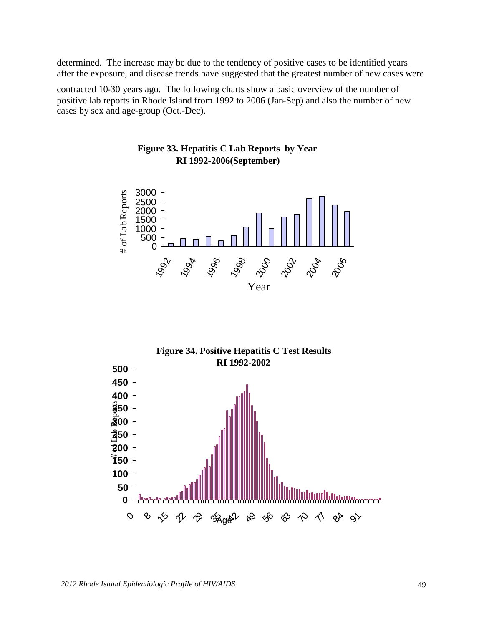determined. The increase may be due to the tendency of positive cases to be identified years after the exposure, and disease trends have suggested that the greatest number of new cases were

contracted 10-30 years ago. The following charts show a basic overview of the number of positive lab reports in Rhode Island from 1992 to 2006 (Jan-Sep) and also the number of new cases by sex and age-group (Oct.-Dec).





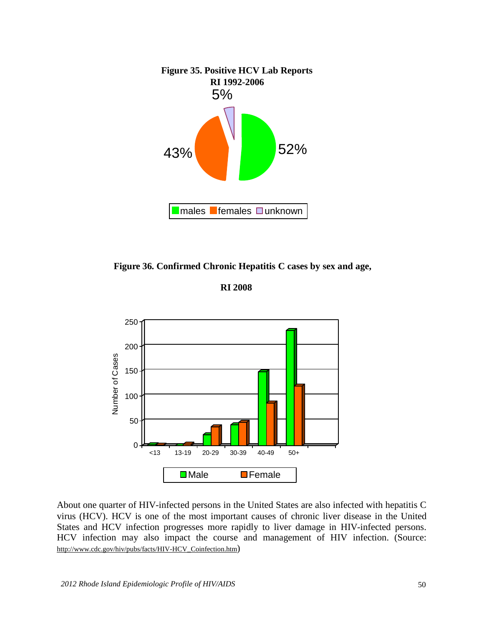

**Figure 36. Confirmed Chronic Hepatitis C cases by sex and age,**

**RI 2008**



About one quarter of HIV-infected persons in the United States are also infected with hepatitis C virus (HCV). HCV is one of the most important causes of chronic liver disease in the United States and HCV infection progresses more rapidly to liver damage in HIV-infected persons. HCV infection may also impact the course and management of HIV infection. (Source: [http://www.cdc.gov/hiv/pubs/facts/HIV-HCV\\_Coinfection.htm](http://www.cdc.gov/hiv/pubs/facts/HIV-HCV_Coinfection.htm))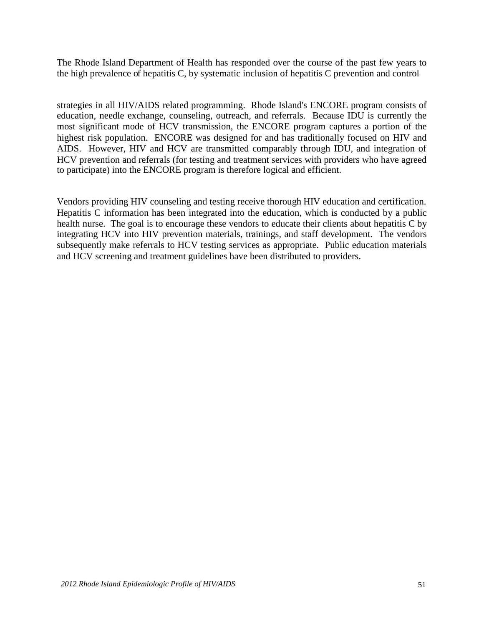The Rhode Island Department of Health has responded over the course of the past few years to the high prevalence of hepatitis C, by systematic inclusion of hepatitis C prevention and control

strategies in all HIV/AIDS related programming. Rhode Island's ENCORE program consists of education, needle exchange, counseling, outreach, and referrals. Because IDU is currently the most significant mode of HCV transmission, the ENCORE program captures a portion of the highest risk population. ENCORE was designed for and has traditionally focused on HIV and AIDS. However, HIV and HCV are transmitted comparably through IDU, and integration of HCV prevention and referrals (for testing and treatment services with providers who have agreed to participate) into the ENCORE program is therefore logical and efficient.

Vendors providing HIV counseling and testing receive thorough HIV education and certification. Hepatitis C information has been integrated into the education, which is conducted by a public health nurse. The goal is to encourage these vendors to educate their clients about hepatitis C by integrating HCV into HIV prevention materials, trainings, and staff development. The vendors subsequently make referrals to HCV testing services as appropriate. Public education materials and HCV screening and treatment guidelines have been distributed to providers.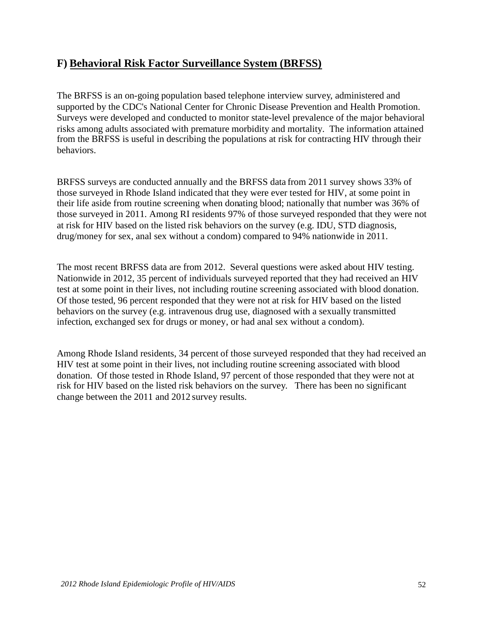# **F) Behavioral Risk Factor Surveillance System (BRFSS)**

The BRFSS is an on-going population based telephone interview survey, administered and supported by the CDC's National Center for Chronic Disease Prevention and Health Promotion. Surveys were developed and conducted to monitor state-level prevalence of the major behavioral risks among adults associated with premature morbidity and mortality. The information attained from the BRFSS is useful in describing the populations at risk for contracting HIV through their behaviors.

BRFSS surveys are conducted annually and the BRFSS data from 2011 survey shows 33% of those surveyed in Rhode Island indicated that they were ever tested for HIV, at some point in their life aside from routine screening when donating blood; nationally that number was 36% of those surveyed in 2011. Among RI residents 97% of those surveyed responded that they were not at risk for HIV based on the listed risk behaviors on the survey (e.g. IDU, STD diagnosis, drug/money for sex, anal sex without a condom) compared to 94% nationwide in 2011.

The most recent BRFSS data are from 2012. Several questions were asked about HIV testing. Nationwide in 2012, 35 percent of individuals surveyed reported that they had received an HIV test at some point in their lives, not including routine screening associated with blood donation. Of those tested, 96 percent responded that they were not at risk for HIV based on the listed behaviors on the survey (e.g. intravenous drug use, diagnosed with a sexually transmitted infection, exchanged sex for drugs or money, or had anal sex without a condom).

Among Rhode Island residents, 34 percent of those surveyed responded that they had received an HIV test at some point in their lives, not including routine screening associated with blood donation. Of those tested in Rhode Island, 97 percent of those responded that they were not at risk for HIV based on the listed risk behaviors on the survey. There has been no significant change between the 2011 and 2012 survey results.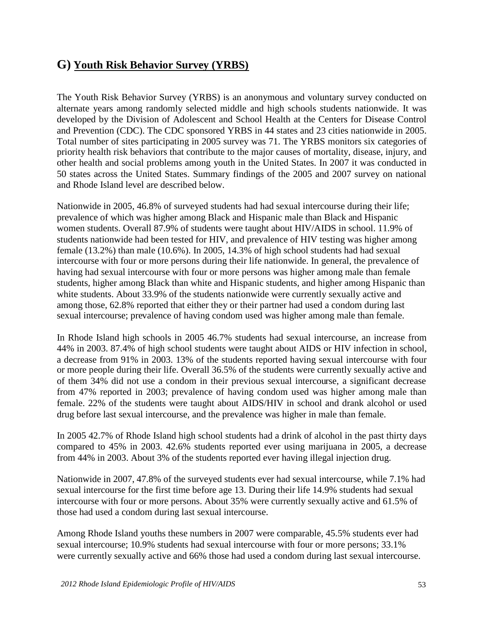# **G) Youth Risk Behavior Survey (YRBS)**

The Youth Risk Behavior Survey (YRBS) is an anonymous and voluntary survey conducted on alternate years among randomly selected middle and high schools students nationwide. It was developed by the Division of Adolescent and School Health at the Centers for Disease Control and Prevention (CDC). The CDC sponsored YRBS in 44 states and 23 cities nationwide in 2005. Total number of sites participating in 2005 survey was 71. The YRBS monitors six categories of priority health risk behaviors that contribute to the major causes of mortality, disease, injury, and other health and social problems among youth in the United States. In 2007 it was conducted in 50 states across the United States. Summary findings of the 2005 and 2007 survey on national and Rhode Island level are described below.

Nationwide in 2005, 46.8% of surveyed students had had sexual intercourse during their life; prevalence of which was higher among Black and Hispanic male than Black and Hispanic women students. Overall 87.9% of students were taught about HIV/AIDS in school. 11.9% of students nationwide had been tested for HIV, and prevalence of HIV testing was higher among female (13.2%) than male (10.6%). In 2005, 14.3% of high school students had had sexual intercourse with four or more persons during their life nationwide. In general, the prevalence of having had sexual intercourse with four or more persons was higher among male than female students, higher among Black than white and Hispanic students, and higher among Hispanic than white students. About 33.9% of the students nationwide were currently sexually active and among those, 62.8% reported that either they or their partner had used a condom during last sexual intercourse; prevalence of having condom used was higher among male than female.

In Rhode Island high schools in 2005 46.7% students had sexual intercourse, an increase from 44% in 2003. 87.4% of high school students were taught about AIDS or HIV infection in school, a decrease from 91% in 2003. 13% of the students reported having sexual intercourse with four or more people during their life. Overall 36.5% of the students were currently sexually active and of them 34% did not use a condom in their previous sexual intercourse, a significant decrease from 47% reported in 2003; prevalence of having condom used was higher among male than female. 22% of the students were taught about AIDS/HIV in school and drank alcohol or used drug before last sexual intercourse, and the prevalence was higher in male than female.

In 2005 42.7% of Rhode Island high school students had a drink of alcohol in the past thirty days compared to 45% in 2003. 42.6% students reported ever using marijuana in 2005, a decrease from 44% in 2003. About 3% of the students reported ever having illegal injection drug.

Nationwide in 2007, 47.8% of the surveyed students ever had sexual intercourse, while 7.1% had sexual intercourse for the first time before age 13. During their life 14.9% students had sexual intercourse with four or more persons. About 35% were currently sexually active and 61.5% of those had used a condom during last sexual intercourse.

Among Rhode Island youths these numbers in 2007 were comparable, 45.5% students ever had sexual intercourse; 10.9% students had sexual intercourse with four or more persons; 33.1% were currently sexually active and 66% those had used a condom during last sexual intercourse.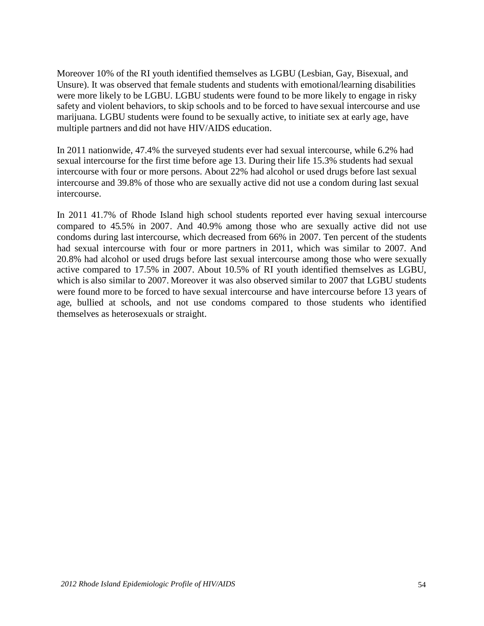Moreover 10% of the RI youth identified themselves as LGBU (Lesbian, Gay, Bisexual, and Unsure). It was observed that female students and students with emotional/learning disabilities were more likely to be LGBU. LGBU students were found to be more likely to engage in risky safety and violent behaviors, to skip schools and to be forced to have sexual intercourse and use marijuana. LGBU students were found to be sexually active, to initiate sex at early age, have multiple partners and did not have HIV/AIDS education.

In 2011 nationwide, 47.4% the surveyed students ever had sexual intercourse, while 6.2% had sexual intercourse for the first time before age 13. During their life 15.3% students had sexual intercourse with four or more persons. About 22% had alcohol or used drugs before last sexual intercourse and 39.8% of those who are sexually active did not use a condom during last sexual intercourse.

In 2011 41.7% of Rhode Island high school students reported ever having sexual intercourse compared to 45.5% in 2007. And 40.9% among those who are sexually active did not use condoms during last intercourse, which decreased from 66% in 2007. Ten percent of the students had sexual intercourse with four or more partners in 2011, which was similar to 2007. And 20.8% had alcohol or used drugs before last sexual intercourse among those who were sexually active compared to 17.5% in 2007. About 10.5% of RI youth identified themselves as LGBU, which is also similar to 2007. Moreover it was also observed similar to 2007 that LGBU students were found more to be forced to have sexual intercourse and have intercourse before 13 years of age, bullied at schools, and not use condoms compared to those students who identified themselves as heterosexuals or straight.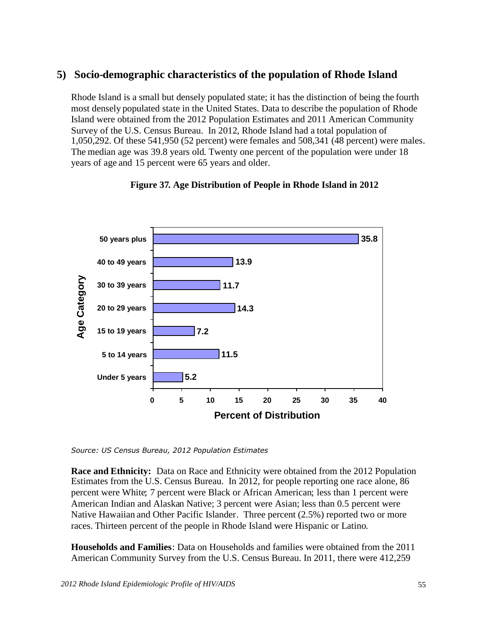# **5) Socio-demographic characteristics of the population of Rhode Island**

Rhode Island is a small but densely populated state; it has the distinction of being the fourth most densely populated state in the United States. Data to describe the population of Rhode Island were obtained from the 2012 Population Estimates and 2011 American Community Survey of the U.S. Census Bureau. In 2012, Rhode Island had a total population of 1,050,292. Of these 541,950 (52 percent) were females and 508,341 (48 percent) were males. The median age was 39.8 years old. Twenty one percent of the population were under 18 years of age and 15 percent were 65 years and older.



#### **Figure 37. Age Distribution of People in Rhode Island in 2012**

*Source: US Census Bureau, 2012 Population Estimates*

**Race and Ethnicity:** Data on Race and Ethnicity were obtained from the 2012 Population Estimates from the U.S. Census Bureau. In 2012, for people reporting one race alone, 86 percent were White; 7 percent were Black or African American; less than 1 percent were American Indian and Alaskan Native; 3 percent were Asian; less than 0.5 percent were Native Hawaiian and Other Pacific Islander. Three percent (2.5%) reported two or more races. Thirteen percent of the people in Rhode Island were Hispanic or Latino.

**Households and Families**: Data on Households and families were obtained from the 2011 American Community Survey from the U.S. Census Bureau. In 2011, there were 412,259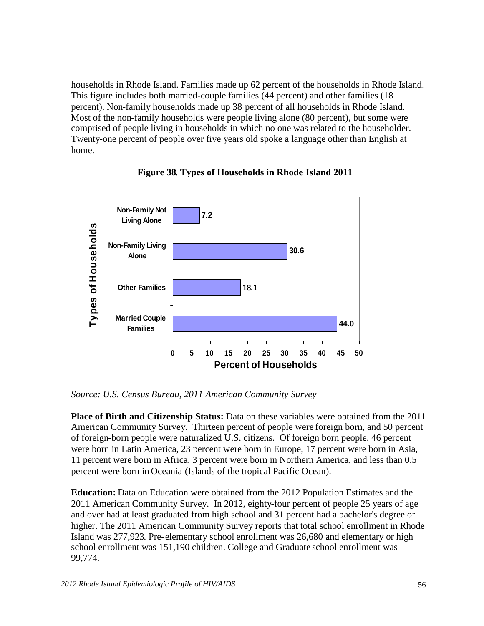households in Rhode Island. Families made up 62 percent of the households in Rhode Island. This figure includes both married-couple families (44 percent) and other families (18 percent). Non-family households made up 38 percent of all households in Rhode Island. Most of the non-family households were people living alone (80 percent), but some were comprised of people living in households in which no one was related to the householder. Twenty-one percent of people over five years old spoke a language other than English at home.



**Figure 38. Types of Households in Rhode Island 2011**

*Source: U.S. Census Bureau, 2011 American Community Survey*

**Place of Birth and Citizenship Status:** Data on these variables were obtained from the 2011 American Community Survey. Thirteen percent of people were foreign born, and 50 percent of foreign-born people were naturalized U.S. citizens. Of foreign born people, 46 percent were born in Latin America, 23 percent were born in Europe, 17 percent were born in Asia, 11 percent were born in Africa, 3 percent were born in Northern America, and less than 0.5 percent were born in Oceania (Islands of the tropical Pacific Ocean).

**Education:** Data on Education were obtained from the 2012 Population Estimates and the 2011 American Community Survey. In 2012, eighty-four percent of people 25 years of age and over had at least graduated from high school and 31 percent had a bachelor's degree or higher. The 2011 American Community Survey reports that total school enrollment in Rhode Island was 277,923. Pre-elementary school enrollment was 26,680 and elementary or high school enrollment was 151,190 children. College and Graduate school enrollment was 99,774.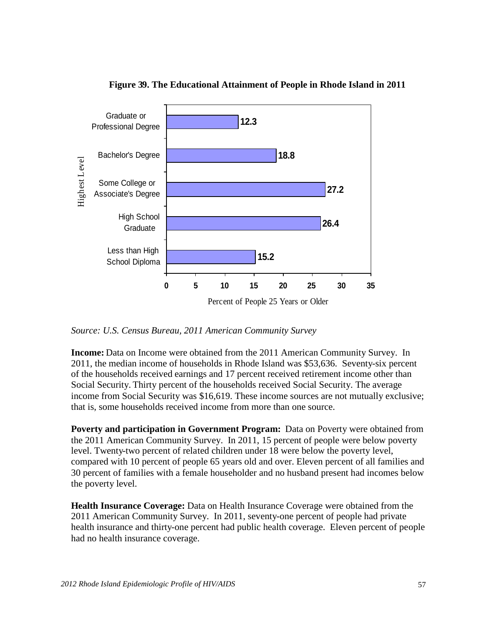

#### **Figure 39. The Educational Attainment of People in Rhode Island in 2011**

*Source: U.S. Census Bureau, 2011 American Community Survey*

**Income:** Data on Income were obtained from the 2011 American Community Survey. In 2011, the median income of households in Rhode Island was \$53,636. Seventy-six percent of the households received earnings and 17 percent received retirement income other than Social Security. Thirty percent of the households received Social Security. The average income from Social Security was \$16,619. These income sources are not mutually exclusive; that is, some households received income from more than one source.

**Poverty and participation in Government Program:** Data on Poverty were obtained from the 2011 American Community Survey. In 2011, 15 percent of people were below poverty level. Twenty-two percent of related children under 18 were below the poverty level, compared with 10 percent of people 65 years old and over. Eleven percent of all families and 30 percent of families with a female householder and no husband present had incomes below the poverty level.

**Health Insurance Coverage:** Data on Health Insurance Coverage were obtained from the 2011 American Community Survey. In 2011, seventy-one percent of people had private health insurance and thirty-one percent had public health coverage. Eleven percent of people had no health insurance coverage.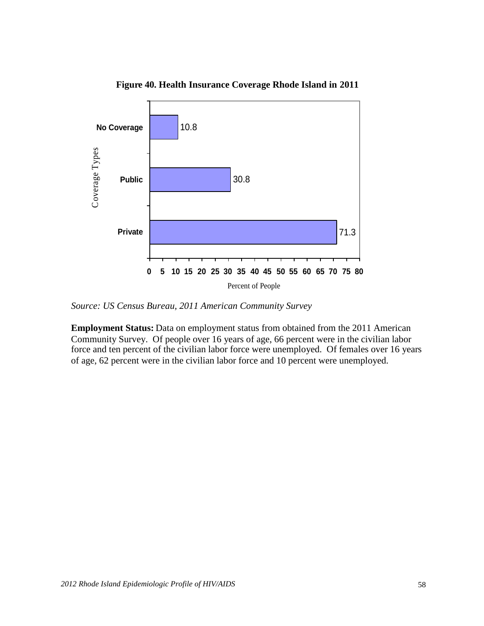

**Figure 40. Health Insurance Coverage Rhode Island in 2011**

*Source: US Census Bureau, 2011 American Community Survey*

**Employment Status:** Data on employment status from obtained from the 2011 American Community Survey. Of people over 16 years of age, 66 percent were in the civilian labor force and ten percent of the civilian labor force were unemployed. Of females over 16 years of age, 62 percent were in the civilian labor force and 10 percent were unemployed.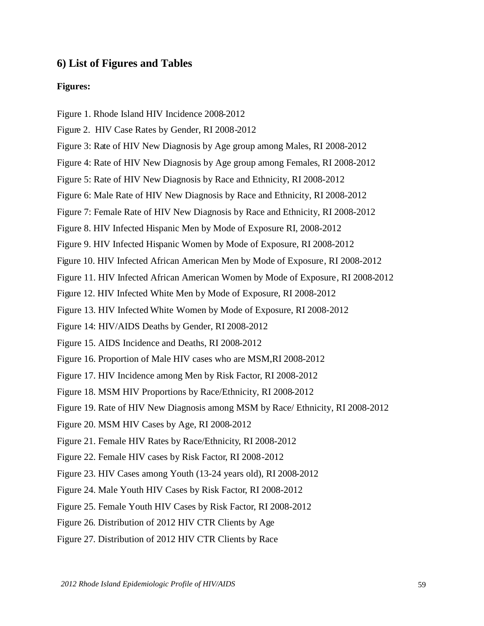#### **6) List of Figures and Tables**

#### **Figures:**

- Figure 1. Rhode Island HIV Incidence 2008-2012
- Figure 2. HIV Case Rates by Gender, RI 2008-2012
- Figure 3: Rate of HIV New Diagnosis by Age group among Males, RI 2008-2012
- Figure 4: Rate of HIV New Diagnosis by Age group among Females, RI 2008-2012
- Figure 5: Rate of HIV New Diagnosis by Race and Ethnicity, RI 2008-2012
- Figure 6: Male Rate of HIV New Diagnosis by Race and Ethnicity, RI 2008-2012
- Figure 7: Female Rate of HIV New Diagnosis by Race and Ethnicity, RI 2008-2012
- Figure 8. HIV Infected Hispanic Men by Mode of Exposure RI, 2008-2012
- Figure 9. HIV Infected Hispanic Women by Mode of Exposure, RI 2008-2012
- Figure 10. HIV Infected African American Men by Mode of Exposure, RI 2008-2012
- Figure 11. HIV Infected African American Women by Mode of Exposure, RI 2008-2012
- Figure 12. HIV Infected White Men by Mode of Exposure, RI 2008-2012
- Figure 13. HIV Infected White Women by Mode of Exposure, RI 2008-2012
- Figure 14: HIV/AIDS Deaths by Gender, RI 2008-2012
- Figure 15. AIDS Incidence and Deaths, RI 2008-2012
- Figure 16. Proportion of Male HIV cases who are MSM,RI 2008-2012
- Figure 17. HIV Incidence among Men by Risk Factor, RI 2008-2012
- Figure 18. MSM HIV Proportions by Race/Ethnicity, RI 2008-2012
- Figure 19. Rate of HIV New Diagnosis among MSM by Race/ Ethnicity, RI 2008-2012
- Figure 20. MSM HIV Cases by Age, RI 2008-2012
- Figure 21. Female HIV Rates by Race/Ethnicity, RI 2008-2012
- Figure 22. Female HIV cases by Risk Factor, RI 2008-2012
- Figure 23. HIV Cases among Youth (13-24 years old), RI 2008-2012
- Figure 24. Male Youth HIV Cases by Risk Factor, RI 2008-2012
- Figure 25. Female Youth HIV Cases by Risk Factor, RI 2008-2012
- Figure 26. Distribution of 2012 HIV CTR Clients by Age
- Figure 27. Distribution of 2012 HIV CTR Clients by Race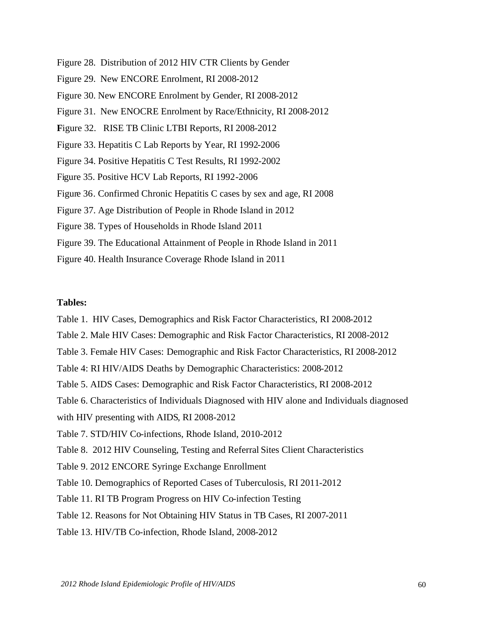- Figure 28. Distribution of 2012 HIV CTR Clients by Gender
- Figure 29. New ENCORE Enrolment, RI 2008-2012
- Figure 30. New ENCORE Enrolment by Gender, RI 2008-2012
- Figure 31. New ENOCRE Enrolment by Race/Ethnicity, RI 2008-2012
- **F**igure 32. RISE TB Clinic LTBI Reports, RI 2008-2012
- Figure 33. Hepatitis C Lab Reports by Year, RI 1992-2006
- Figure 34. Positive Hepatitis C Test Results, RI 1992-2002
- Figure 35. Positive HCV Lab Reports, RI 1992-2006
- Figure 36. Confirmed Chronic Hepatitis C cases by sex and age, RI 2008
- Figure 37. Age Distribution of People in Rhode Island in 2012
- Figure 38. Types of Households in Rhode Island 2011
- Figure 39. The Educational Attainment of People in Rhode Island in 2011
- Figure 40. Health Insurance Coverage Rhode Island in 2011

#### **Tables:**

Table 1. HIV Cases, Demographics and Risk Factor Characteristics, RI 2008-2012 Table 2. Male HIV Cases: Demographic and Risk Factor Characteristics, RI 2008-2012 Table 3. Female HIV Cases: Demographic and Risk Factor Characteristics, RI 2008-2012 Table 4: RI HIV/AIDS Deaths by Demographic Characteristics: 2008-2012 Table 5. AIDS Cases: Demographic and Risk Factor Characteristics, RI 2008-2012 Table 6. Characteristics of Individuals Diagnosed with HIV alone and Individuals diagnosed with HIV presenting with AIDS, RI 2008-2012 Table 7. STD/HIV Co-infections, Rhode Island, 2010-2012 Table 8. 2012 HIV Counseling, Testing and Referral Sites Client Characteristics Table 9. 2012 ENCORE Syringe Exchange Enrollment Table 10. Demographics of Reported Cases of Tuberculosis, RI 2011-2012 Table 11. RI TB Program Progress on HIV Co-infection Testing Table 12. Reasons for Not Obtaining HIV Status in TB Cases, RI 2007-2011 Table 13. HIV/TB Co-infection, Rhode Island, 2008-2012